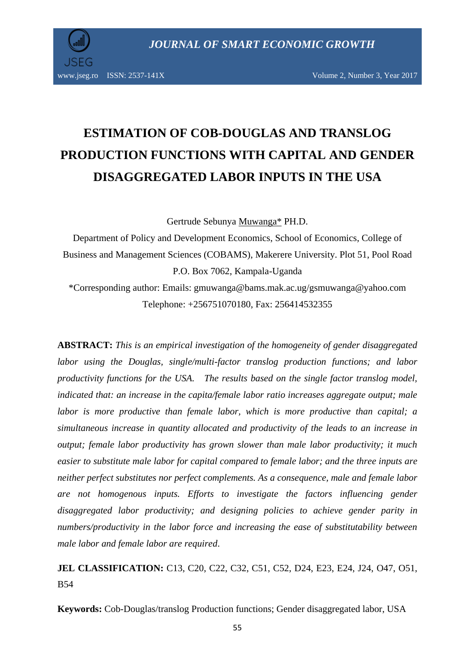

# **ESTIMATION OF COB-DOUGLAS AND TRANSLOG PRODUCTION FUNCTIONS WITH CAPITAL AND GENDER DISAGGREGATED LABOR INPUTS IN THE USA**

Gertrude Sebunya Muwanga\* PH.D.

Department of Policy and Development Economics, School of Economics, College of Business and Management Sciences (COBAMS), Makerere University. Plot 51, Pool Road P.O. Box 7062, Kampala-Uganda

\*Corresponding author: Emails: gmuwanga@bams.mak.ac.ug/gsmuwanga@yahoo.com Telephone: +256751070180, Fax: 256414532355

**ABSTRACT:** *This is an empirical investigation of the homogeneity of gender disaggregated labor using the Douglas, single/multi-factor translog production functions; and labor productivity functions for the USA. The results based on the single factor translog model, indicated that: an increase in the capita/female labor ratio increases aggregate output; male labor is more productive than female labor, which is more productive than capital; a simultaneous increase in quantity allocated and productivity of the leads to an increase in output; female labor productivity has grown slower than male labor productivity; it much easier to substitute male labor for capital compared to female labor; and the three inputs are neither perfect substitutes nor perfect complements. As a consequence, male and female labor are not homogenous inputs. Efforts to investigate the factors influencing gender disaggregated labor productivity; and designing policies to achieve gender parity in numbers/productivity in the labor force and increasing the ease of substitutability between male labor and female labor are required*.

**JEL CLASSIFICATION:** C13, C20, C22, C32, C51, C52, D24, E23, E24, J24, O47, O51, B54

**Keywords:** Cob-Douglas/translog Production functions; Gender disaggregated labor, USA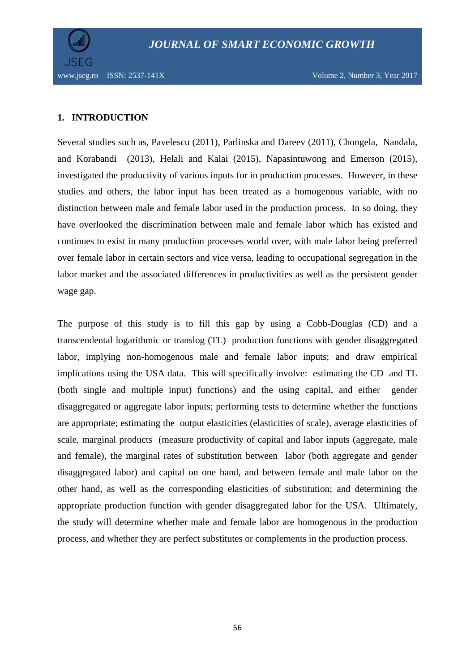

### **1. INTRODUCTION**

Several studies such as, Pavelescu (2011), Parlinska and Dareev (2011), Chongela, Nandala, and Korabandi (2013), Helali and Kalai (2015), Napasintuwong and Emerson (2015), investigated the productivity of various inputs for in production processes. However, in these studies and others, the labor input has been treated as a homogenous variable, with no distinction between male and female labor used in the production process. In so doing, they have overlooked the discrimination between male and female labor which has existed and continues to exist in many production processes world over, with male labor being preferred over female labor in certain sectors and vice versa, leading to occupational segregation in the labor market and the associated differences in productivities as well as the persistent gender wage gap.

The purpose of this study is to fill this gap by using a Cobb-Douglas (CD) and a transcendental logarithmic or translog (TL) production functions with gender disaggregated labor, implying non-homogenous male and female labor inputs; and draw empirical implications using the USA data. This will specifically involve: estimating the CD and TL (both single and multiple input) functions) and the using capital, and either gender disaggregated or aggregate labor inputs; performing tests to determine whether the functions are appropriate; estimating the output elasticities (elasticities of scale), average elasticities of scale, marginal products (measure productivity of capital and labor inputs (aggregate, male and female), the marginal rates of substitution between labor (both aggregate and gender disaggregated labor) and capital on one hand, and between female and male labor on the other hand, as well as the corresponding elasticities of substitution; and determining the appropriate production function with gender disaggregated labor for the USA. Ultimately, the study will determine whether male and female labor are homogenous in the production process, and whether they are perfect substitutes or complements in the production process.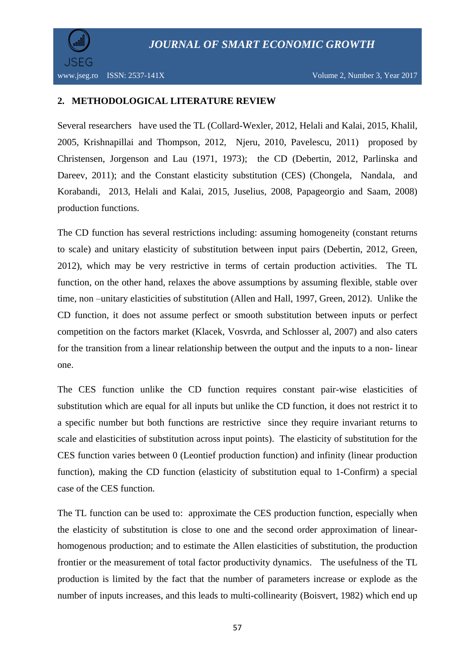

#### **2. METHODOLOGICAL LITERATURE REVIEW**

Several researchers have used the TL (Collard-Wexler, 2012, Helali and Kalai, 2015, Khalil, 2005, Krishnapillai and Thompson, 2012, Njeru, 2010, Pavelescu, 2011) proposed by Christensen, Jorgenson and Lau (1971, 1973); the CD (Debertin, 2012, Parlinska and Dareev, 2011); and the Constant elasticity substitution (CES) (Chongela, Nandala, and Korabandi, 2013, Helali and Kalai, 2015, Juselius, 2008, Papageorgio and Saam, 2008) production functions.

The CD function has several restrictions including: assuming homogeneity (constant returns to scale) and unitary elasticity of substitution between input pairs (Debertin, 2012, Green, 2012), which may be very restrictive in terms of certain production activities. The TL function, on the other hand, relaxes the above assumptions by assuming flexible, stable over time, non –unitary elasticities of substitution (Allen and Hall, 1997, Green, 2012). Unlike the CD function, it does not assume perfect or smooth substitution between inputs or perfect competition on the factors market (Klacek, Vosvrda, and Schlosser al, 2007) and also caters for the transition from a linear relationship between the output and the inputs to a non- linear one.

The CES function unlike the CD function requires constant pair-wise elasticities of substitution which are equal for all inputs but unlike the CD function, it does not restrict it to a specific number but both functions are restrictive since they require invariant returns to scale and elasticities of substitution across input points). The elasticity of substitution for the CES function varies between 0 (Leontief production function) and infinity (linear production function), making the CD function (elasticity of substitution equal to 1-Confirm) a special case of the CES function.

The TL function can be used to: approximate the CES production function, especially when the elasticity of substitution is close to one and the second order approximation of linearhomogenous production; and to estimate the Allen elasticities of substitution, the production frontier or the measurement of total factor productivity dynamics. The usefulness of the TL production is limited by the fact that the number of parameters increase or explode as the number of inputs increases, and this leads to multi-collinearity (Boisvert, 1982) which end up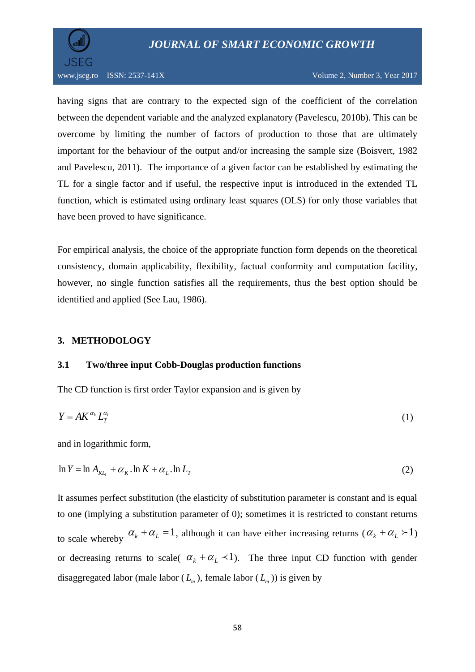



having signs that are contrary to the expected sign of the coefficient of the correlation between the dependent variable and the analyzed explanatory (Pavelescu, 2010b). This can be overcome by limiting the number of factors of production to those that are ultimately important for the behaviour of the output and/or increasing the sample size (Boisvert, 1982 and Pavelescu, 2011). The importance of a given factor can be established by estimating the TL for a single factor and if useful, the respective input is introduced in the extended TL function, which is estimated using ordinary least squares (OLS) for only those variables that have been proved to have significance.

For empirical analysis, the choice of the appropriate function form depends on the theoretical consistency, domain applicability, flexibility, factual conformity and computation facility, however, no single function satisfies all the requirements, thus the best option should be identified and applied (See Lau, 1986).

### **3. METHODOLOGY**

#### **3.1 Two/three input Cobb-Douglas production functions**

The CD function is first order Taylor expansion and is given by

$$
Y = AK^{\alpha_k}L_T^{\alpha_l} \tag{1}
$$

and in logarithmic form,

$$
\ln Y = \ln A_{\kappa L_1} + \alpha_{\kappa} \cdot \ln K + \alpha_{\kappa} \cdot \ln L_T \tag{2}
$$

It assumes perfect substitution (the elasticity of substitution parameter is constant and is equal to one (implying a substitution parameter of 0); sometimes it is restricted to constant returns to scale whereby  $\alpha_k + \alpha_L = 1$ , although it can have either increasing returns  $(\alpha_k + \alpha_L > 1)$ or decreasing returns to scale(  $\alpha_k + \alpha_k \prec 1$ ). The three input CD function with gender disaggregated labor (male labor  $(L_m)$ , female labor  $(L_m)$ ) is given by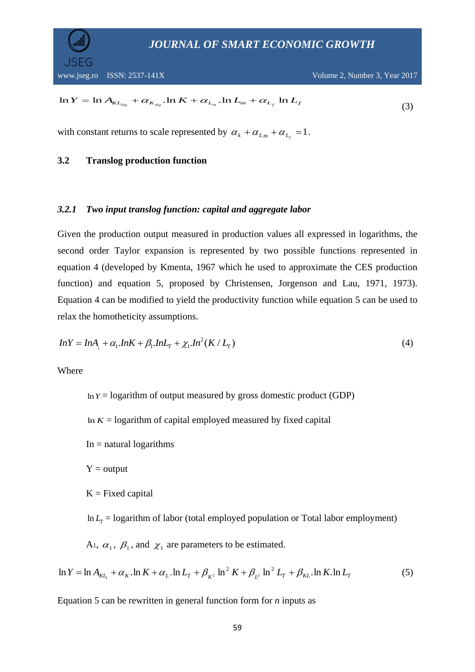

$$
\ln Y = \ln A_{KL_{ds}} + \alpha_{K_{ds}} \cdot \ln K + \alpha_{L_m} \cdot \ln L_m + \alpha_{L_f} \ln L_f \tag{3}
$$

with constant returns to scale represented by  $\alpha_k + \alpha_{L_m} + \alpha_{L_f} = 1$ .

#### **3.2 Translog production function**

#### *3.2.1 Two input translog function: capital and aggregate labor*

 $Y = \ln A_{KL_{\alpha}} + \alpha_{K_{\alpha}} \cdot \ln K + \alpha_{L_{\alpha}} \ln L_{\alpha} + \alpha_{L_{\alpha}} \ln L_{\beta}$ <br>
th constant returns to scale represented by  $\alpha_k + \alpha_{L_{\alpha}} + \alpha_{L_{\alpha}} =$ <br> **Translog production function**<br> **1** *Ivo input translog function: capital and aggregate l* Given the production output measured in production values all expressed in logarithms, the second order Taylor expansion is represented by two possible functions represented in equation 4 (developed by Kmenta, 1967 which he used to approximate the CES production function) and equation 5, proposed by Christensen, Jorgenson and Lau, 1971, 1973). Equation 4 can be modified to yield the productivity function while equation 5 can be used to relax the homotheticity assumptions.

$$
InY = InA1 + \alpha_1 InK + \beta_1 InL_T + \chi_1 In^2(K/L_T)
$$
\n(4)

Where

 $ln Y =$  logarithm of output measured by gross domestic product (GDP)

In  $K =$  logarithm of capital employed measured by fixed capital

 $In = natural logarithms$ 

 $Y = output$ 

 $K = Fixed capital$ 

 $\ln L_{\text{r}} = \text{logarithm}$  of labor (total employed population or Total labor employment)

A<sub>1</sub>,  $\alpha_1$ ,  $\beta_1$ , and  $\chi_1$  are parameters to be estimated.

$$
\ln Y = \ln A_{\substack{KL_1}} + \alpha_K \ln K + \alpha_L \ln L_T + \beta_{\substack{K^2}} \ln^2 K + \beta_{\substack{L^2}} \ln^2 L_T + \beta_{\substack{KL}} \ln K \ln L_T \tag{5}
$$

Equation 5 can be rewritten in general function form for *n* inputs as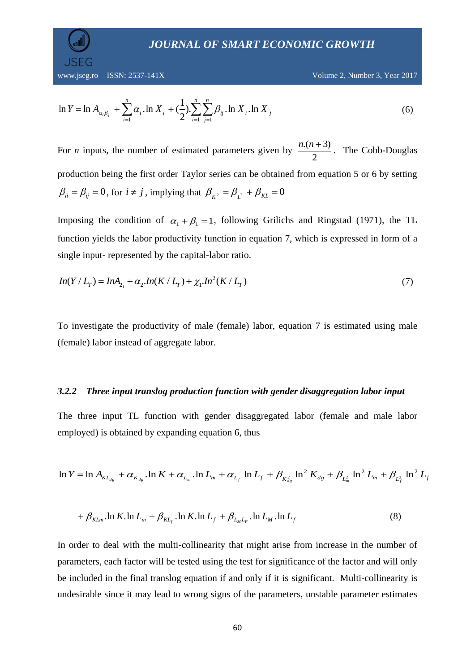$$
\ln Y = \ln A_{\alpha_i \beta_j} + \sum_{i=1}^n \alpha_i \cdot \ln X_i + (\frac{1}{2}) \cdot \sum_{i=1}^n \sum_{j=1}^n \beta_{ij} \cdot \ln X_i \cdot \ln X_j
$$
(6)

For *n* inputs, the number of estimated parameters given by 2  $\frac{n(n+3)}{2}$ . The Cobb-Douglas production being the first order Taylor series can be obtained from equation 5 or 6 by setting  $\beta_{ii} = \beta_{ij} = 0$ , for  $i \neq j$ , implying that  $\beta_{K^2} = \beta_{L^2} + \beta_{KL} = 0$ 

Imposing the condition of  $\alpha_1 + \beta_1 = 1$ , following Grilichs and Ringstad (1971), the TL function yields the labor productivity function in equation 7, which is expressed in form of a single input- represented by the capital-labor ratio.

$$
In(Y/L_r) = InA_{2_1} + \alpha_2 In(K/L_r) + \chi_1 In^2(K/L_r)
$$
\n(7)

To investigate the productivity of male (female) labor, equation 7 is estimated using male (female) labor instead of aggregate labor.

#### *3.2.2 Three input translog production function with gender disaggregation labor input*

The three input TL function with gender disaggregated labor (female and male labor employed) is obtained by expanding equation 6, thus

$$
\ln Y = \ln A_{KL_{dg}} + \alpha_{K_{dg}} \cdot \ln K + \alpha_{L_m} \cdot \ln L_m + \alpha_{L_f} \ln L_f + \beta_{K_{dg}^2} \ln^2 K_{dg} + \beta_{L_m^2} \ln^2 L_m + \beta_{L_f^2} \ln^2 L_f
$$

$$
+\beta_{\text{KLm}}.\ln K.\ln L_m + \beta_{\text{KL}_f}.\ln K.\ln L_f + \beta_{\text{L}_M\text{L}_F}.\ln L_M.\ln L_f \tag{8}
$$

 $\sum_{i=1}^{\infty} \alpha_i$ . In  $X_i + (\frac{1}{2})$ .  $\sum_{i=1}^{\infty} \sum_{j=1}^{\infty} \beta_{ij}$ . In  $\lambda$ <br>
e number of estimated parametaries cannot the first order Taylor series cannot the first order Taylor series cannot the interpediant of  $\alpha_1 + \$ In order to deal with the multi-collinearity that might arise from increase in the number of parameters, each factor will be tested using the test for significance of the factor and will only be included in the final translog equation if and only if it is significant. Multi-collinearity is undesirable since it may lead to wrong signs of the parameters, unstable parameter estimates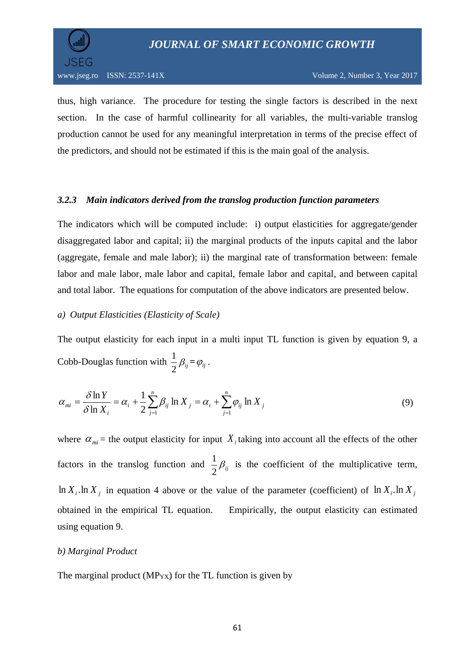

thus, high variance. The procedure for testing the single factors is described in the next section. In the case of harmful collinearity for all variables, the multi-variable translog production cannot be used for any meaningful interpretation in terms of the precise effect of the predictors, and should not be estimated if this is the main goal of the analysis.

### *3.2.3 Main indicators derived from the translog production function parameters*

The indicators which will be computed include: i) output elasticities for aggregate/gender disaggregated labor and capital; ii) the marginal products of the inputs capital and the labor (aggregate, female and male labor); ii) the marginal rate of transformation between: female labor and male labor, male labor and capital, female labor and capital, and between capital and total labor. The equations for computation of the above indicators are presented below.

### *a) Output Elasticities (Elasticity of Scale)*

The output elasticity for each input in a multi input TL function is given by equation 9, a Cobb-Douglas function with  $\frac{1}{2}\beta_{ij}$  $\frac{1}{2}\beta_{ij} = \varphi_{ij}$ .

$$
\alpha_{mi} = \frac{\delta \ln Y}{\delta \ln X_i} = \alpha_i + \frac{1}{2} \sum_{j=1}^n \beta_{ij} \ln X_j = \alpha_i + \sum_{j=1}^n \varphi_{ij} \ln X_j
$$
\n(9)

where  $\alpha_{mi}$  = the output elasticity for input  $X_i$  taking into account all the effects of the other factors in the translog function and  $\frac{1}{2}\beta_{ij}$  $\frac{1}{\epsilon}$   $\beta_{ii}$  is the coefficient of the multiplicative term,  $\ln X_i$  in equation 4 above or the value of the parameter (coefficient) of  $\ln X_i$   $\ln X_j$ obtained in the empirical TL equation. Empirically, the output elasticity can estimated using equation 9.

#### *b) Marginal Product*

The marginal product ( $MP_{YX}$ ) for the TL function is given by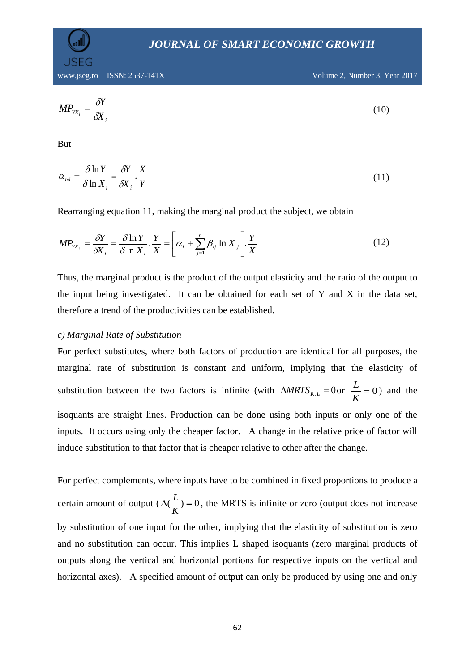www.jseg.ro ISSN: 2537-141X Volume 2, Number 3, Year 2017

$$
MP_{YX_i} = \frac{\delta Y}{\delta X_i} \tag{10}
$$

But

$$
\alpha_{mi} = \frac{\delta \ln Y}{\delta \ln X_i} = \frac{\delta Y}{\delta X_i} \cdot \frac{X}{Y}
$$
\n(11)

Rearranging equation 11, making the marginal product the subject, we obtain

$$
MP_{XX_i} = \frac{\delta Y}{\delta X_i} = \frac{\delta \ln Y}{\delta \ln X_i} \cdot \frac{Y}{X} = \left[ \alpha_i + \sum_{j=1}^n \beta_{ij} \ln X_j \right] \cdot \frac{Y}{X}
$$
(12)

Thus, the marginal product is the product of the output elasticity and the ratio of the output to the input being investigated. It can be obtained for each set of Y and X in the data set. therefore a trend of the productivities can be established.

#### *c) Marginal Rate of Substitution*

For perfect substitutes, where both factors of production are identical for all purposes, the marginal rate of substitution is constant and uniform, implying that the elasticity of substitution between the two factors is infinite (with  $\triangle MRTS_{K,L} = 0$  or  $\frac{L}{K} = 0$ *K*  $\frac{L}{\sqrt{L}} = 0$ ) and the isoquants are straight lines. Production can be done using both inputs or only one of the inputs. It occurs using only the cheaper factor. A change in the relative price of factor will induce substitution to that factor that is cheaper relative to other after the change.

For perfect complements, where inputs have to be combined in fixed proportions to produce a certain amount of output  $(\Delta(\frac{L}{r}) = 0$ *K*  $(L) = 0$ , the MRTS is infinite or zero (output does not increase by substitution of one input for the other, implying that the elasticity of substitution is zero and no substitution can occur. This implies L shaped isoquants (zero marginal products of outputs along the vertical and horizontal portions for respective inputs on the vertical and horizontal axes). A specified amount of output can only be produced by using one and only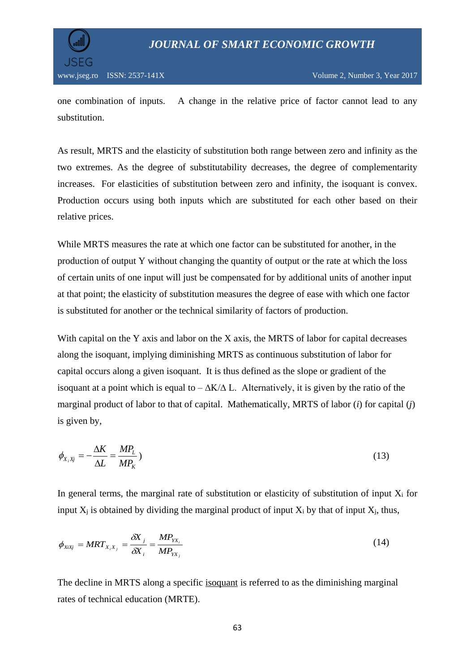



one combination of inputs. A change in the relative price of factor cannot lead to any substitution.

As result, MRTS and the elasticity of substitution both range between zero and infinity as the two extremes. As the degree of substitutability decreases, the degree of complementarity increases. For elasticities of substitution between zero and infinity, the isoquant is convex. Production occurs using both inputs which are substituted for each other based on their relative prices.

While MRTS measures the rate at which one factor can be substituted for another, in the production of output Y without changing the quantity of output or the rate at which the loss of certain units of one input will just be compensated for by additional units of another input at that point; the elasticity of substitution measures the degree of ease with which one factor is substituted for another or the technical similarity of factors of production.

With capital on the Y axis and labor on the X axis, the MRTS of labor for capital decreases along the isoquant, implying diminishing MRTS as continuous substitution of labor for capital occurs along a given isoquant. It is thus defined as the slope or gradient of the isoquant at a point which is equal to –  $\Delta K/\Delta L$ . Alternatively, it is given by the ratio of the marginal product of labor to that of capital. Mathematically, MRTS of labor (*i*) for capital (*j*) is given by,

$$
\phi_{X_i X_j} = -\frac{\Delta K}{\Delta L} = \frac{M P_L}{M P_K} \tag{13}
$$

In general terms, the marginal rate of substitution or elasticity of substitution of input  $X_i$  for input  $X_i$  is obtained by dividing the marginal product of input  $X_i$  by that of input  $X_i$ , thus,

$$
\phi_{\chi_i \chi_j} = MRT_{X_i X_j} = \frac{\delta X_j}{\delta X_i} = \frac{MP_{YX_i}}{MP_{YX_j}}
$$
\n(14)

The decline in MRTS along a specific [isoquant](http://economicsconcepts.com/isoquants.htm) is referred to as the diminishing marginal rates of technical education (MRTE).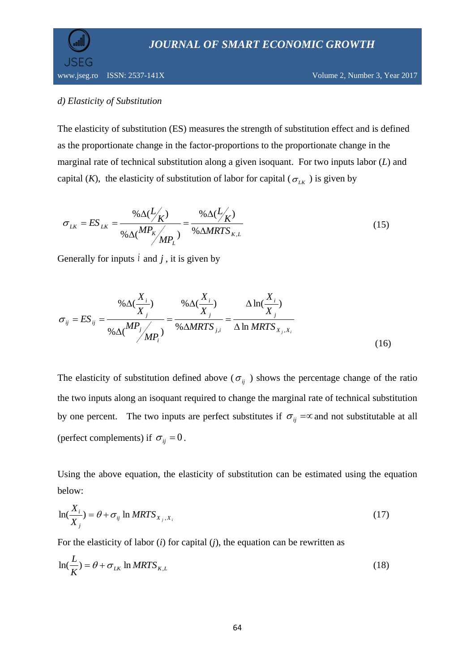

www.jseg.ro ISSN: 2537-141X Volume 2, Number 3, Year 2017

### *d) Elasticity of Substitution*

The elasticity of substitution (ES) measures the strength of substitution effect and is defined as the proportionate change in the factor-proportions to the proportionate change in the marginal rate of technical substitution along a given isoquant. For two inputs labor (*L*) and capital (*K*), the elasticity of substitution of labor for capital ( $\sigma_{LK}$ ) is given by

$$
\sigma_{LK} = ES_{LK} = \frac{\% \Delta(L/K)}{\% \Delta(MP_K)_{MP_L}} = \frac{\% \Delta(L/K)}{\% \Delta MRTS_{K,L}}
$$
(15)

Generally for inputs  $\hat{i}$  and  $\hat{j}$ , it is given by

$$
\sigma_{ij} = ES_{ij} = \frac{\% \Delta(\frac{X_i}{X_j})}{\% \Delta(\frac{MP_j}{MP_i})} = \frac{\% \Delta(\frac{X_i}{X_j})}{\% \Delta MRTS_{j,i}} = \frac{\Delta \ln(\frac{X_i}{X_j})}{\Delta \ln MRTS_{X_j, X_i}}
$$
\n(16)

The elasticity of substitution defined above ( $\sigma_{ij}$ ) shows the percentage change of the ratio the two inputs along an isoquant required to change the marginal rate of technical substitution by one percent. The two inputs are perfect substitutes if  $\sigma_{ij} = \infty$  and not substitutable at all (perfect complements) if  $\sigma_{ij} = 0$ .

Using the above equation, the elasticity of substitution can be estimated using the equation below:

$$
\ln(\frac{X_i}{X_j}) = \theta + \sigma_{ij} \ln MRTS_{X_j, X_i}
$$
\n(17)

For the elasticity of labor (*i*) for capital (*j*), the equation can be rewritten as

$$
\ln(\frac{L}{K}) = \theta + \sigma_{LK} \ln MRTS_{K,L}
$$
 (18)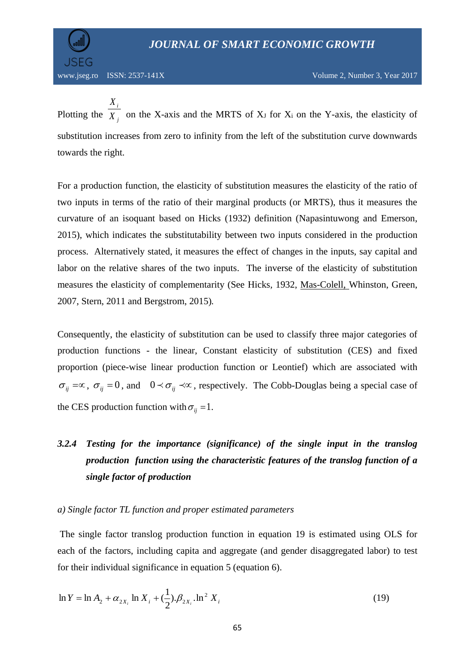JSEG

Plotting the  $X_j$ *i X X* on the X-axis and the MRTS of  $X_J$  for  $X_i$  on the Y-axis, the elasticity of substitution increases from zero to infinity from the left of the substitution curve downwards towards the right.

For a production function, the elasticity of substitution measures the elasticity of the ratio of two inputs in terms of the ratio of their marginal products (or MRTS), thus it measures the curvature of an isoquant based on Hicks (1932) definition (Napasintuwong and Emerson, 2015), which indicates the substitutability between two inputs considered in the production process. Alternatively stated, it measures the effect of changes in the inputs, say capital and labor on the relative shares of the two inputs. The inverse of the elasticity of substitution measures the elasticity of complementarity (See Hicks*,* 1932, [Mas-Colell,](https://en.wikipedia.org/wiki/Andreu_Mas-Colell) Whinston, Green, 2007, Stern, 2011 and Bergstrom, 2015)*.*

Consequently, the elasticity of substitution can be used to classify three major categories of production functions - the linear, Constant elasticity of substitution (CES) and fixed proportion (piece-wise linear production function or Leontief) which are associated with  $\sigma_{ij} = \infty$ ,  $\sigma_{ij} = 0$ , and  $0 \prec \sigma_{ij} \prec \infty$ , respectively. The Cobb-Douglas being a special case of the CES production function with  $\sigma_{ij} = 1$ .

# *3.2.4 Testing for the importance (significance) of the single input in the translog production function using the characteristic features of the translog function of a single factor of production*

#### *a) Single factor TL function and proper estimated parameters*

The single factor translog production function in equation 19 is estimated using OLS for each of the factors, including capita and aggregate (and gender disaggregated labor) to test for their individual significance in equation 5 (equation 6).

$$
\ln Y = \ln A_2 + \alpha_{2X_i} \ln X_i + (\frac{1}{2}).\beta_{2X_i} \cdot \ln^2 X_i
$$
 (19)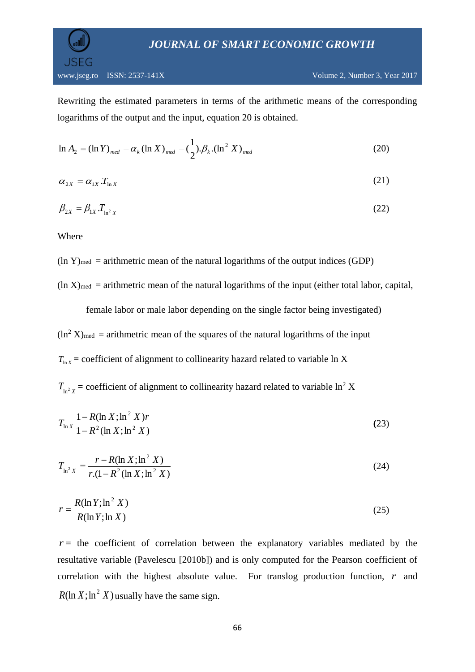

Rewriting the estimated parameters in terms of the arithmetic means of the corresponding logarithms of the output and the input, equation 20 is obtained.

$$
\ln A_2 = (\ln Y)_{med} - \alpha_k (\ln X)_{med} - (\frac{1}{2}).\beta_k . (\ln^2 X)_{med}
$$
 (20)

$$
\alpha_{2X} = \alpha_{1X} \cdot T_{\ln X} \tag{21}
$$

$$
\beta_{2X} = \beta_{1X} T_{\ln^2 X} \tag{22}
$$

Where

 $(ln Y)_{med}$  = arithmetric mean of the natural logarithms of the output indices (GDP)

 $(ln X)_{med}$  = arithmetric mean of the natural logarithms of the input (either total labor, capital,

female labor or male labor depending on the single factor being investigated)  $(ln^2 X)_{\text{med}}$  = arithmetric mean of the squares of the natural logarithms of the input  $T_{\text{ln }X}$  = coefficient of alignment to collinearity hazard related to variable ln X

 $T_{ln^2 X}$  = coefficient of alignment to collinearity hazard related to variable ln<sup>2</sup> X

$$
T_{\ln X} \frac{1 - R(\ln X; \ln^2 X)r}{1 - R^2(\ln X; \ln^2 X)}
$$
\n(23)

$$
T_{\ln^2 X} = \frac{r - R(\ln X; \ln^2 X)}{r \cdot (1 - R^2 (\ln X; \ln^2 X))}
$$
(24)

$$
r = \frac{R(\ln Y; \ln^2 X)}{R(\ln Y; \ln X)}\tag{25}
$$

 $r =$  the coefficient of correlation between the explanatory variables mediated by the resultative variable (Pavelescu [2010b]) and is only computed for the Pearson coefficient of correlation with the highest absolute value. For translog production function, *r* and  $R(\ln X; \ln^2 X)$  usually have the same sign.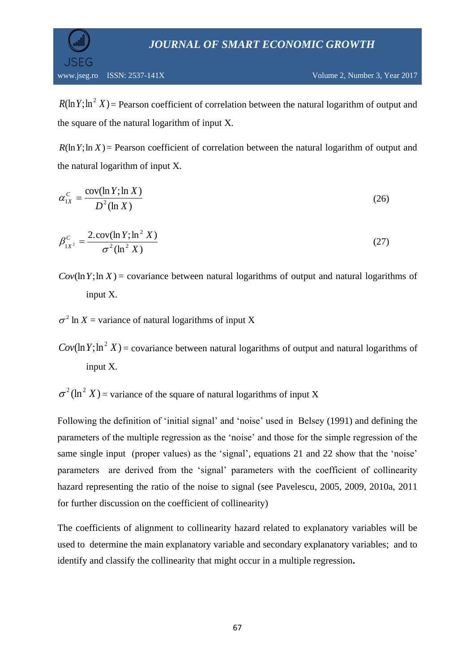www.jseg.ro ISSN: 2537-141X Volume 2, Number 3, Year 2017

 $R(\ln Y; \ln^2 X)$  = Pearson coefficient of correlation between the natural logarithm of output and the square of the natural logarithm of input X.

 $R(\ln Y; \ln X)$  = Pearson coefficient of correlation between the natural logarithm of output and the natural logarithm of input X.

$$
\alpha_{1X}^C = \frac{\text{cov}(\ln Y; \ln X)}{D^2(\ln X)}
$$
\n(26)

$$
\beta_{1X^2}^C = \frac{2 \cdot \text{cov}(\ln Y; \ln^2 X)}{\sigma^2 (\ln^2 X)}
$$
\n(27)

 $Cov(\ln Y; \ln X)$  = covariance between natural logarithms of output and natural logarithms of input X.

 $\sigma^2$  ln *X* = variance of natural logarithms of input *X* 

 $Cov(\ln Y; \ln^2 X)$  = covariance between natural logarithms of output and natural logarithms of input X.

 $\sigma^2$ (ln<sup>2</sup> X) = variance of the square of natural logarithms of input X

(ln Y; ln ' X) = Pearson coefficient of correlatio<br>
e square of the natural logarithm of input X.<br>
(ln Y; ln X) = Pearson coefficient of correlation<br>
e natural logarithm of input X.<br>  $c_x = \frac{\text{cov}(\ln Y; \ln X)}{D^2(\ln X)}$ <br>  $\frac{c}{x^$ Following the definition of 'initial signal' and 'noise' used in Belsey (1991) and defining the parameters of the multiple regression as the 'noise' and those for the simple regression of the same single input (proper values) as the 'signal', equations 21 and 22 show that the 'noise' parameters are derived from the 'signal' parameters with the coefficient of collinearity hazard representing the ratio of the noise to signal (see Pavelescu, 2005, 2009, 2010a, 2011 for further discussion on the coefficient of collinearity)

The coefficients of alignment to collinearity hazard related to explanatory variables will be used to determine the main explanatory variable and secondary explanatory variables; and to identify and classify the collinearity that might occur in a multiple regression**.**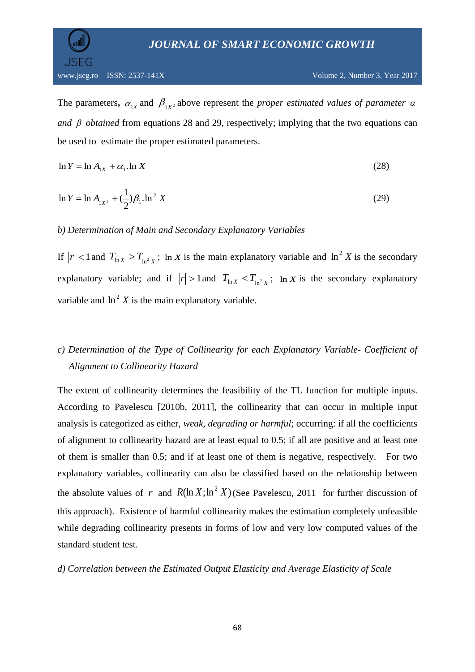The parameters,  $\alpha_{1X}$  and  $\beta_{1X^2}$  above represent the *proper estimated values of parameter*  $\alpha$ and  $\beta$  obtained from equations 28 and 29, respectively; implying that the two equations can be used to estimate the proper estimated parameters.

$$
\ln Y = \ln A_{1X} + \alpha_1 \ln X \tag{28}
$$

$$
\ln Y = \ln A_{1X^2} + \left(\frac{1}{2}\right)\beta_1 \cdot \ln^2 X \tag{29}
$$

### *b) Determination of Main and Secondary Explanatory Variables*

If  $|r| < 1$  and  $T_{\ln X} > T_{\ln^2 X}$ ;  $\ln X$  is the main explanatory variable and  $\ln^2 X$  is the secondary explanatory variable; and if  $|r| > 1$  and  $T_{\ln X} < T_{\ln^2 X}$ ;  $\ln X$  is the secondary explanatory variable and  $\ln^2 X$  is the main explanatory variable.

# *c) Determination of the Type of Collinearity for each Explanatory Variable- Coefficient of Alignment to Collinearity Hazard*

The extent of collinearity determines the feasibility of the TL function for multiple inputs. According to Pavelescu [2010b, 2011], the collinearity that can occur in multiple input analysis is categorized as either, *weak, degrading or harmful*; occurring: if all the coefficients of alignment to collinearity hazard are at least equal to 0.5; if all are positive and at least one of them is smaller than 0.5; and if at least one of them is negative, respectively. For two explanatory variables, collinearity can also be classified based on the relationship between the absolute values of r and  $R(\ln X; \ln^2 X)$  (See Pavelescu, 2011 for further discussion of this approach). Existence of harmful collinearity makes the estimation completely unfeasible while degrading collinearity presents in forms of low and very low computed values of the standard student test.

#### *d) Correlation between the Estimated Output Elasticity and Average Elasticity of Scale*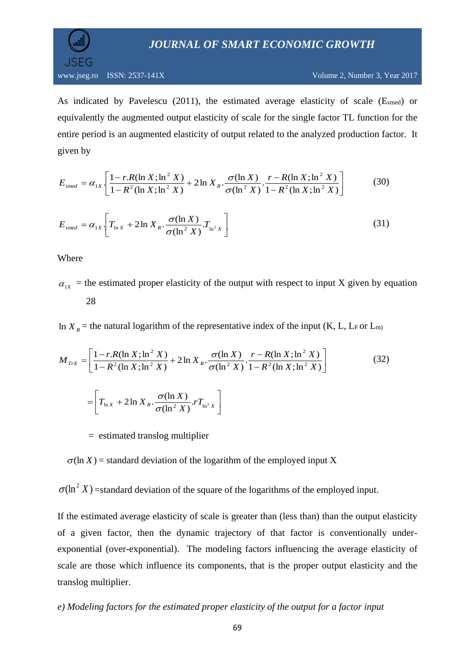

As indicated by Pavelescu (2011), the estimated average elasticity of scale (Esmed) or equivalently the augmented output elasticity of scale for the single factor TL function for the entire period is an augmented elasticity of output related to the analyzed production factor. It given by

$$
E_{\text{smed}} = \alpha_{1X} \left[ \frac{1 - r \cdot R(\ln X; \ln^2 X)}{1 - R^2 (\ln X; \ln^2 X)} + 2 \ln X_R \cdot \frac{\sigma(\ln X)}{\sigma(\ln^2 X)} \cdot \frac{r - R(\ln X; \ln^2 X)}{1 - R^2 (\ln X; \ln^2 X)} \right] \tag{30}
$$

$$
E_{\text{smed}} = \alpha_{1X} \left[ T_{\ln X} + 2 \ln X_R \cdot \frac{\sigma(\ln X)}{\sigma(\ln^2 X)} T_{\ln^2 X} \right]
$$
 (31)

Where

 $\alpha_{1X}$  = the estimated proper elasticity of the output with respect to input X given by equation 28

In  $X_R$  = the natural logarithm of the representative index of the input (K, L, L<sub>F</sub> or L<sub>m)</sub>

$$
M_{TxX} = \left[ \frac{1 - r.R(\ln X; \ln^2 X)}{1 - R^2(\ln X; \ln^2 X)} + 2 \ln X_R \cdot \frac{\sigma(\ln X)}{\sigma(\ln^2 X)} \cdot \frac{r - R(\ln X; \ln^2 X)}{1 - R^2(\ln X; \ln^2 X)} \right]
$$
(32)  

$$
= \left[ T_{\ln X} + 2 \ln X_R \cdot \frac{\sigma(\ln X)}{\sigma(\ln^2 X)} \cdot r T_{\ln^2 X} \right]
$$

= estimated translog multiplier

 $\sigma$ (ln *X*) = standard deviation of the logarithm of the employed input *X* 

 $\sigma$ (ln<sup>2</sup> X) = standard deviation of the square of the logarithms of the employed input.

If the estimated average elasticity of scale is greater than (less than) than the output elasticity of a given factor, then the dynamic trajectory of that factor is conventionally underexponential (over-exponential). The modeling factors influencing the average elasticity of scale are those which influence its components, that is the proper output elasticity and the translog multiplier.

### *e) Modeling factors for the estimated proper elasticity of the output for a factor input*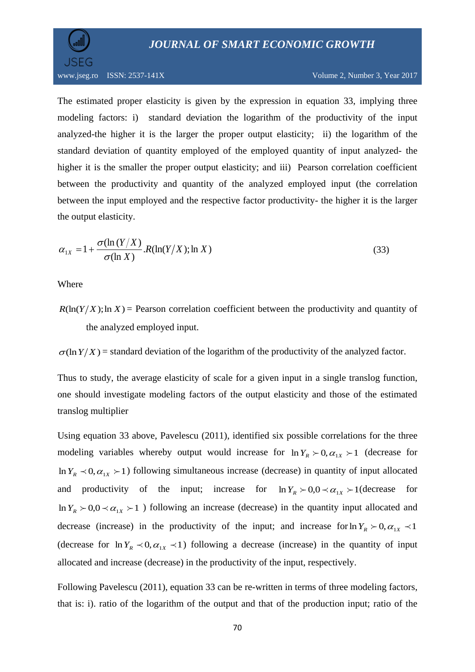

The estimated proper elasticity is given by the expression in equation 33, implying three modeling factors: i) standard deviation the logarithm of the productivity of the input analyzed-the higher it is the larger the proper output elasticity; ii) the logarithm of the standard deviation of quantity employed of the employed quantity of input analyzed- the higher it is the smaller the proper output elasticity; and iii) Pearson correlation coefficient between the productivity and quantity of the analyzed employed input (the correlation between the input employed and the respective factor productivity- the higher it is the larger the output elasticity.

$$
\alpha_{1X} = 1 + \frac{\sigma(\ln(Y/X))}{\sigma(\ln X)} R(\ln(Y/X); \ln X)
$$
\n(33)

Where

 $R(\ln(Y/X); \ln X)$  = Pearson correlation coefficient between the productivity and quantity of the analyzed employed input.

 $\sigma$ (ln*Y*/*X*) = standard deviation of the logarithm of the productivity of the analyzed factor.

Thus to study, the average elasticity of scale for a given input in a single translog function, one should investigate modeling factors of the output elasticity and those of the estimated translog multiplier

Using equation 33 above, Pavelescu (2011), identified six possible correlations for the three modeling variables whereby output would increase for  $\ln Y_R > 0, \alpha_{1X} > 1$  (decrease for  $\ln Y_R \prec 0, \alpha_{1X} \succ 1$ ) following simultaneous increase (decrease) in quantity of input allocated and productivity of the input; increase for  $\ln Y_R > 0.0 \le \alpha_{1X} > 1$  (decrease for  $\ln Y_R > 0.0 \lt \alpha_{1X} > 1$ ) following an increase (decrease) in the quantity input allocated and decrease (increase) in the productivity of the input; and increase for  $\ln Y_R > 0, \alpha_{1X} < 1$ (decrease for  $\ln Y_R \prec 0, \alpha_{1X} \prec 1$ ) following a decrease (increase) in the quantity of input allocated and increase (decrease) in the productivity of the input, respectively.

Following Pavelescu (2011), equation 33 can be re-written in terms of three modeling factors, that is: i). ratio of the logarithm of the output and that of the production input; ratio of the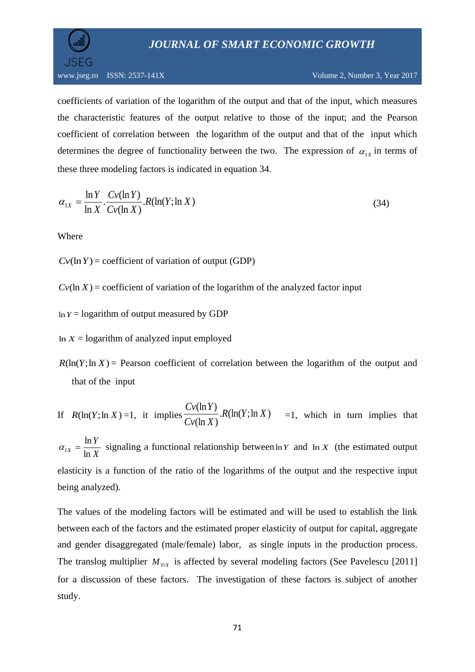

coefficients of variation of the logarithm of the output and that of the input, which measures the characteristic features of the output relative to those of the input; and the Pearson coefficient of correlation between the logarithm of the output and that of the input which determines the degree of functionality between the two. The expression of  $\alpha_{1x}$  in terms of these three modeling factors is indicated in equation 34.

$$
\alpha_{1X} = \frac{\ln Y}{\ln X} \cdot \frac{Cv(\ln Y)}{Cv(\ln X)} \cdot R(\ln(Y; \ln X)) \tag{34}
$$

Where

 $Cv(\ln Y)$  = coefficient of variation of output (GDP)

 $Cv(\ln X)$  = coefficient of variation of the logarithm of the analyzed factor input

 $ln Y =$  logarithm of output measured by GDP

In  $X =$  logarithm of analyzed input employed

 $R(\ln(Y; \ln X))$  Pearson coefficient of correlation between the logarithm of the output and that of the input

If 
$$
R(\ln(Y; \ln X) = 1
$$
, it implies  $\frac{Cv(\ln Y)}{Cv(\ln X)}$ .  $R(\ln(Y; \ln X) = 1$ , which in turn implies that

*X Y*  $X = \ln$  $\alpha_{1x} = \frac{\ln Y}{\ln Y}$  signaling a functional relationship between  $\ln Y$  and  $\ln X$  (the estimated output elasticity is a function of the ratio of the logarithms of the output and the respective input being analyzed).

The values of the modeling factors will be estimated and will be used to establish the link between each of the factors and the estimated proper elasticity of output for capital, aggregate and gender disaggregated (male/female) labor, as single inputs in the production process. The translog multiplier  $M_{TrX}$  is affected by several modeling factors (See Pavelescu [2011] for a discussion of these factors. The investigation of these factors is subject of another study.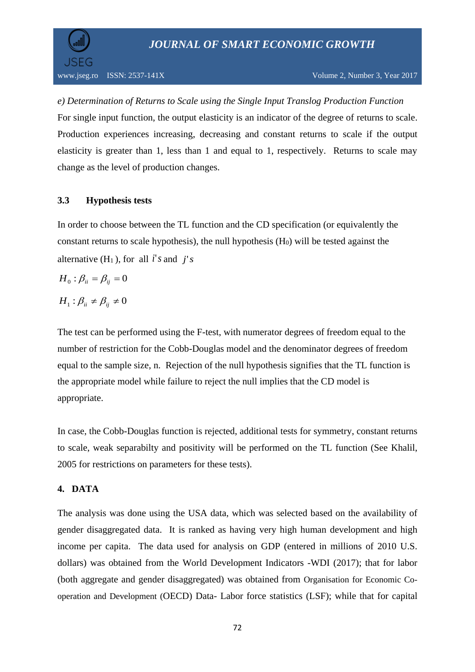JSEG

*e) Determination of Returns to Scale using the Single Input Translog Production Function* For single input function, the output elasticity is an indicator of the degree of [returns to scale.](https://en.wikipedia.org/wiki/Returns_to_scale) Production experiences increasing, decreasing and constant returns to scale if the output elasticity is greater than 1, less than 1 and equal to 1, respectively. Returns to scale may change as the level of production changes.

### **3.3 Hypothesis tests**

In order to choose between the TL function and the CD specification (or equivalently the constant returns to scale hypothesis), the null hypothesis  $(H<sub>0</sub>)$  will be tested against the alternative  $(H_1)$ , for all *i*'*s* and *j*'*s* 

$$
H_{0}: \beta_{ii}=\beta_{ij}=0
$$

$$
H_1: \beta_{ii} \neq \beta_{ij} \neq 0
$$

The test can be performed using the F-test, with numerator degrees of freedom equal to the number of restriction for the Cobb-Douglas model and the denominator degrees of freedom equal to the sample size, n. Rejection of the null hypothesis signifies that the TL function is the appropriate model while failure to reject the null implies that the CD model is appropriate.

In case, the Cobb-Douglas function is rejected, additional tests for symmetry, constant returns to scale, weak separabilty and positivity will be performed on the TL function (See Khalil, 2005 for restrictions on parameters for these tests).

### **4. DATA**

The analysis was done using the USA data, which was selected based on the availability of gender disaggregated data. It is ranked as having very high human development and high income per capita. The data used for analysis on GDP (entered in millions of 2010 U.S. dollars) was obtained from the World Development Indicators -WDI (2017); that for labor (both aggregate and gender disaggregated) was obtained from Organisation for Economic Cooperation and Development (OECD) Data- Labor force statistics (LSF); while that for capital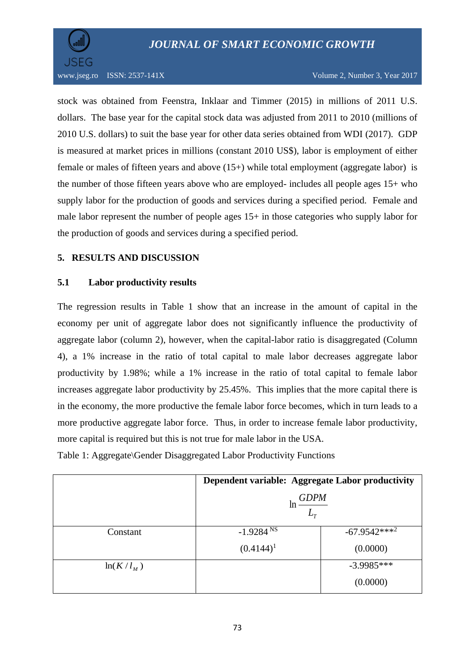



stock was obtained from Feenstra, Inklaar and Timmer (2015) in millions of 2011 U.S. dollars. The base year for the capital stock data was adjusted from 2011 to 2010 (millions of 2010 U.S. dollars) to suit the base year for other data series obtained from WDI (2017). GDP is measured at market prices in millions (constant 2010 US\$), labor is employment of either female or males of fifteen years and above (15+) while total employment (aggregate labor) is the number of those fifteen years above who are employed- includes all people ages 15+ who supply labor for the production of goods and services during a specified period. Female and male labor represent the number of people ages 15+ in those categories who supply labor for the production of goods and services during a specified period.

### **5. RESULTS AND DISCUSSION**

### **5.1 Labor productivity results**

The regression results in Table 1 show that an increase in the amount of capital in the economy per unit of aggregate labor does not significantly influence the productivity of aggregate labor (column 2), however, when the capital-labor ratio is disaggregated (Column 4), a 1% increase in the ratio of total capital to male labor decreases aggregate labor productivity by 1.98%; while a 1% increase in the ratio of total capital to female labor increases aggregate labor productivity by 25.45%. This implies that the more capital there is in the economy, the more productive the female labor force becomes, which in turn leads to a more productive aggregate labor force. Thus, in order to increase female labor productivity, more capital is required but this is not true for male labor in the USA.

|             | Dependent variable: Aggregate Labor productivity |                 |  |  |  |  |  |
|-------------|--------------------------------------------------|-----------------|--|--|--|--|--|
|             | <b>GDPM</b><br>ln<br>$L_{\tau}$                  |                 |  |  |  |  |  |
| Constant    | $-1.9284 N$                                      | $-67.9542***^2$ |  |  |  |  |  |
|             | $(0.4144)^1$                                     | (0.0000)        |  |  |  |  |  |
| $ln(K/l_M)$ |                                                  | $-3.9985***$    |  |  |  |  |  |
|             |                                                  | (0.0000)        |  |  |  |  |  |

Table 1: Aggregate\Gender Disaggregated Labor Productivity Functions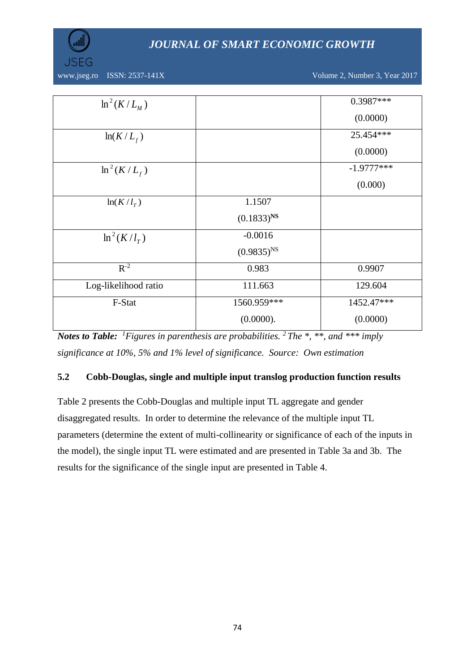

www.jseg.ro ISSN: 2537-141X Volume 2, Number 3, Year 2017

| $\ln^2(K/L_M)$                                                                                                      |                                                                              | 0.3987***    |
|---------------------------------------------------------------------------------------------------------------------|------------------------------------------------------------------------------|--------------|
|                                                                                                                     |                                                                              | (0.0000)     |
| $ln(K/L_f)$                                                                                                         |                                                                              | 25.454 ***   |
|                                                                                                                     |                                                                              | (0.0000)     |
| $\ln^2(K/L_f)$                                                                                                      |                                                                              | $-1.9777***$ |
|                                                                                                                     |                                                                              | (0.000)      |
| $ln(K/l_T)$                                                                                                         | 1.1507                                                                       |              |
|                                                                                                                     | $(0.1833)^{NS}$                                                              |              |
| $\ln^2(K/l_\tau)$                                                                                                   | $-0.0016$                                                                    |              |
|                                                                                                                     | $(0.9835)^{NS}$                                                              |              |
| $R^{-2}$                                                                                                            | 0.983                                                                        | 0.9907       |
| Log-likelihood ratio                                                                                                | 111.663                                                                      | 129.604      |
| F-Stat                                                                                                              | 1560.959***                                                                  | 1452.47***   |
|                                                                                                                     | (0.0000).                                                                    | (0.0000)     |
| <b>Notes to Table:</b> <sup>1</sup> Figures in parenthesis are probabilities. <sup>2</sup> The *, **, and *** imply |                                                                              |              |
| significance at 10%, 5% and 1% level of significance. Source: Own estimation                                        |                                                                              |              |
| 5.2                                                                                                                 | Cobb-Douglas, single and multiple input translog production function results |              |
| Table 2 presents the Cobb-Douglas and multiple input TL aggregate and gender                                        |                                                                              |              |
| disaggregated results. In order to determine the relevance of the multiple input TL                                 |                                                                              |              |
| parameters (determine the extent of multi-collinearity or significance of each of the inputs in                     |                                                                              |              |
| the model), the single input TL were estimated and are presented in Table 3a and 3b. The                            |                                                                              |              |
| results for the significance of the single input are presented in Table 4.                                          |                                                                              |              |
|                                                                                                                     |                                                                              |              |
|                                                                                                                     |                                                                              |              |
|                                                                                                                     |                                                                              |              |
|                                                                                                                     |                                                                              |              |
|                                                                                                                     |                                                                              |              |
|                                                                                                                     |                                                                              |              |
|                                                                                                                     |                                                                              |              |
|                                                                                                                     |                                                                              |              |
|                                                                                                                     |                                                                              |              |
|                                                                                                                     | 74                                                                           |              |

### **5.2 Cobb-Douglas, single and multiple input translog production function results**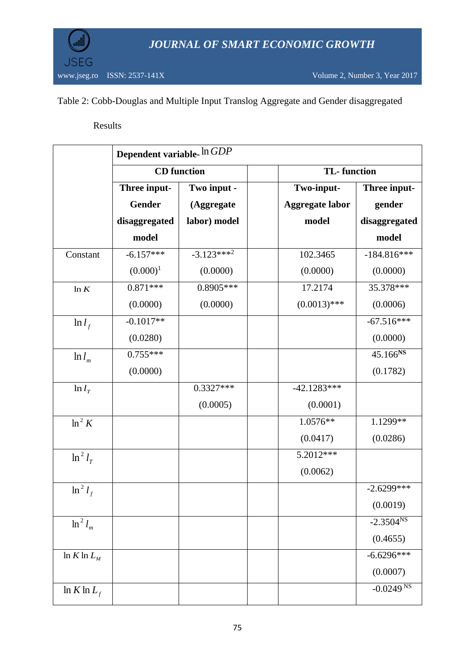

### Table 2: Cobb-Douglas and Multiple Input Translog Aggregate and Gender disaggregated

### Results

|                 | Dependent variable- In GDP |                    |                        |                         |  |  |  |
|-----------------|----------------------------|--------------------|------------------------|-------------------------|--|--|--|
|                 |                            | <b>CD</b> function | <b>TL-</b> function    |                         |  |  |  |
|                 | Three input-               | Two input -        | Two-input-             | Three input-            |  |  |  |
|                 | <b>Gender</b>              | (Aggregate         | <b>Aggregate labor</b> | gender                  |  |  |  |
|                 | disaggregated              | labor) model       | model                  | disaggregated           |  |  |  |
|                 | model                      |                    |                        | model                   |  |  |  |
| Constant        | $-6.157***$                | $-3.123***^2$      | 102.3465               | $-184.816***$           |  |  |  |
|                 | $(0.000)^1$                | (0.0000)           | (0.0000)               | (0.0000)                |  |  |  |
| ln K            | $0.871***$                 | $0.8905***$        | 17.2174                | 35.378***               |  |  |  |
|                 | (0.0000)                   | (0.0000)           | $(0.0013)$ ***         | (0.0006)                |  |  |  |
| $\ln l_f$       | $-0.1017**$                |                    |                        | $-67.516***$            |  |  |  |
|                 | (0.0280)                   |                    |                        | (0.0000)                |  |  |  |
| $\ln l_m$       | $0.755***$                 |                    |                        | 45.166 <sup>NS</sup>    |  |  |  |
|                 | (0.0000)                   |                    |                        | (0.1782)                |  |  |  |
| $\ln l_T$       |                            | $0.3327***$        | $-42.1283***$          |                         |  |  |  |
|                 |                            | (0.0005)           | (0.0001)               |                         |  |  |  |
| $\ln^2 K$       |                            |                    | 1.0576**               | 1.1299**                |  |  |  |
|                 |                            |                    | (0.0417)               | (0.0286)                |  |  |  |
| $\ln^2 l_T$     |                            |                    | 5.2012***              |                         |  |  |  |
|                 |                            |                    | (0.0062)               |                         |  |  |  |
| $\ln^2 l_f$     |                            |                    |                        | $-2.6299***$            |  |  |  |
|                 |                            |                    |                        | (0.0019)                |  |  |  |
| $\ln^2 l_m$     |                            |                    |                        | $-2.3504^{NS}$          |  |  |  |
|                 |                            |                    |                        | (0.4655)                |  |  |  |
| $\ln K \ln L_M$ |                            |                    |                        | $-6.6296***$            |  |  |  |
|                 |                            |                    |                        | (0.0007)                |  |  |  |
| $\ln K \ln L_f$ |                            |                    |                        | $-0.0249$ <sup>NS</sup> |  |  |  |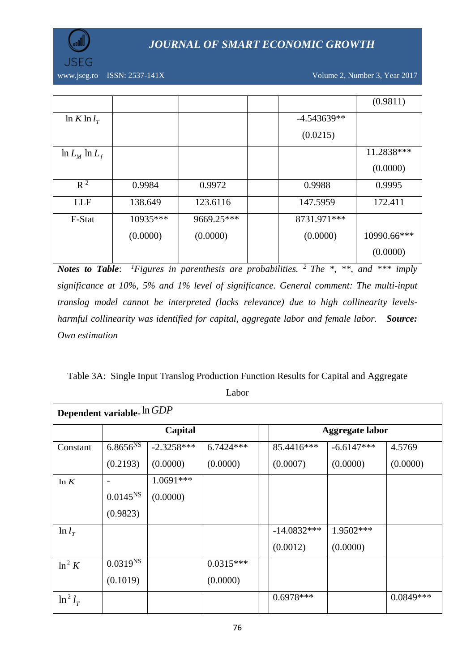

www.jseg.ro ISSN: 2537-141X Volume 2, Number 3, Year 2017

|                      |          |            |               | (0.9811)    |
|----------------------|----------|------------|---------------|-------------|
| $\ln K \ln l_{\tau}$ |          |            | $-4.543639**$ |             |
|                      |          |            | (0.0215)      |             |
| $\ln L_M \ln L_f$    |          |            |               | 11.2838***  |
|                      |          |            |               | (0.0000)    |
| $R^{-2}$             | 0.9984   | 0.9972     | 0.9988        | 0.9995      |
| <b>LLF</b>           | 138.649  | 123.6116   | 147.5959      | 172.411     |
| F-Stat               | 10935*** | 9669.25*** | 8731.971***   |             |
|                      | (0.0000) | (0.0000)   | (0.0000)      | 10990.66*** |
|                      |          |            |               | (0.0000)    |

*Notes to Table*: *<sup>1</sup>Figures in parenthesis are probabilities. <sup>2</sup>The \*, \*\*, and \*\*\* imply significance at 10%, 5% and 1% level of significance. General comment: The multi-input translog model cannot be interpreted (lacks relevance) due to high collinearity levelsharmful collinearity was identified for capital, aggregate labor and female labor. Source: Own estimation*

Table 3A: Single Input Translog Production Function Results for Capital and Aggregate Labor

| Dependent variable- In GDP |               |              |             |  |               |                        |             |
|----------------------------|---------------|--------------|-------------|--|---------------|------------------------|-------------|
|                            |               | Capital      |             |  |               | <b>Aggregate labor</b> |             |
| Constant                   | $6.8656^{NS}$ | $-2.3258***$ | $6.7424***$ |  | 85.4416***    | $-6.6147***$           | 4.5769      |
|                            | (0.2193)      | (0.0000)     | (0.0000)    |  | (0.0007)      | (0.0000)               | (0.0000)    |
| ln K                       |               | $1.0691***$  |             |  |               |                        |             |
|                            | $0.0145^{NS}$ | (0.0000)     |             |  |               |                        |             |
|                            | (0.9823)      |              |             |  |               |                        |             |
| $\ln l_T$                  |               |              |             |  | $-14.0832***$ | 1.9502***              |             |
|                            |               |              |             |  | (0.0012)      | (0.0000)               |             |
| $\ln^2 K$                  | $0.0319^{NS}$ |              | $0.0315***$ |  |               |                        |             |
|                            | (0.1019)      |              | (0.0000)    |  |               |                        |             |
| $\ln^2 l_T$                |               |              |             |  | $0.6978***$   |                        | $0.0849***$ |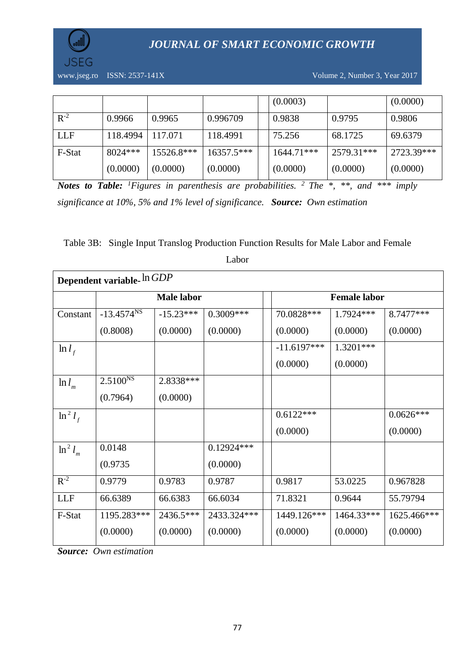

www.jseg.ro ISSN: 2537-141X Volume 2, Number 3, Year 2017

|            |           |            |              | (0.0003)   |            | (0.0000)   |
|------------|-----------|------------|--------------|------------|------------|------------|
| $R^{-2}$   | 0.9966    | 0.9965     | 0.996709     | 0.9838     | 0.9795     | 0.9806     |
| <b>LLF</b> | 118.4994  | 117.071    | 118.4991     | 75.256     | 68.1725    | 69.6379    |
| F-Stat     | $8024***$ | 15526.8*** | $16357.5***$ | 1644.71*** | 2579.31*** | 2723.39*** |
|            | (0.0000)  | (0.0000)   | (0.0000)     | (0.0000)   | (0.0000)   | (0.0000)   |

*Notes to Table: <sup>1</sup>Figures in parenthesis are probabilities. <sup>2</sup>The \*, \*\*, and \*\*\* imply significance at 10%, 5% and 1% level of significance. Source: Own estimation*

### Table 3B:Single Input Translog Production Function Results for Male Labor and Female

| Dependent variable- In GDP |                 |                   |              |  |               |                     |             |
|----------------------------|-----------------|-------------------|--------------|--|---------------|---------------------|-------------|
|                            |                 | <b>Male labor</b> |              |  |               | <b>Female labor</b> |             |
| Constant                   | $-13.4574^{NS}$ | $-15.23***$       | 0.3009***    |  | 70.0828***    | 1.7924 ***          | 8.7477***   |
|                            | (0.8008)        | (0.0000)          | (0.0000)     |  | (0.0000)      | (0.0000)            | (0.0000)    |
| $\ln l_f$                  |                 |                   |              |  | $-11.6197***$ | $1.3201***$         |             |
|                            |                 |                   |              |  | (0.0000)      | (0.0000)            |             |
| $\ln l_m$                  | $2.5100^{NS}$   | 2.8338 ***        |              |  |               |                     |             |
|                            | (0.7964)        | (0.0000)          |              |  |               |                     |             |
| $\ln^2 l_f$                |                 |                   |              |  | $0.6122***$   |                     | $0.0626***$ |
|                            |                 |                   |              |  | (0.0000)      |                     | (0.0000)    |
| $\ln^2 l_m$                | 0.0148          |                   | $0.12924***$ |  |               |                     |             |
|                            | (0.9735)        |                   | (0.0000)     |  |               |                     |             |
| $R^{-2}$                   | 0.9779          | 0.9783            | 0.9787       |  | 0.9817        | 53.0225             | 0.967828    |
| <b>LLF</b>                 | 66.6389         | 66.6383           | 66.6034      |  | 71.8321       | 0.9644              | 55.79794    |
| F-Stat                     | 1195.283***     | 2436.5***         | 2433.324***  |  | 1449.126***   | 1464.33***          | 1625.466*** |
|                            | (0.0000)        | (0.0000)          | (0.0000)     |  | (0.0000)      | (0.0000)            | (0.0000)    |

Labor

*Source: Own estimation*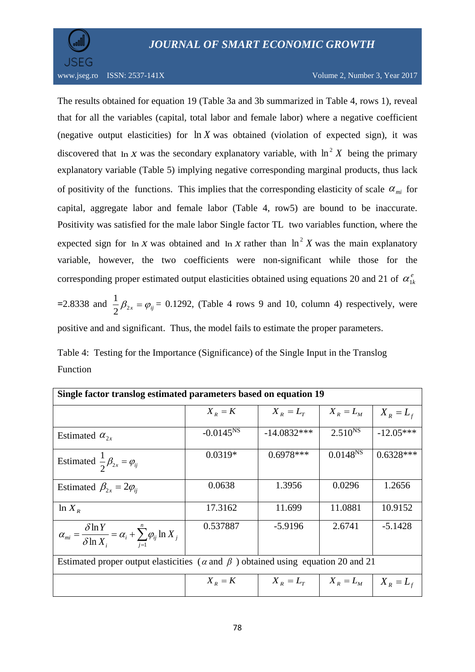

The results obtained for equation 19 (Table 3a and 3b summarized in Table 4, rows 1), reveal that for all the variables (capital, total labor and female labor) where a negative coefficient (negative output elasticities) for  $\ln X$  was obtained (violation of expected sign), it was discovered that  $\ln X$  was the secondary explanatory variable, with  $\ln^2 X$  being the primary explanatory variable (Table 5) implying negative corresponding marginal products, thus lack of positivity of the functions. This implies that the corresponding elasticity of scale  $\alpha_{m i}$  for capital, aggregate labor and female labor (Table 4, row5) are bound to be inaccurate. Positivity was satisfied for the male labor Single factor TL two variables function, where the expected sign for  $\ln X$  was obtained and  $\ln X$  rather than  $\ln^2 X$  was the main explanatory variable, however, the two coefficients were non-significant while those for the corresponding proper estimated output elasticities obtained using equations 20 and 21 of  $\alpha_{1k}^e$ 

=2.8338 and  $\frac{1}{2}\beta_{2x} = \varphi_{ij} = 0.1292$ , (Table 4 rows 9 and 10, column 4) respectively, were positive and and significant. Thus, the model fails to estimate the proper parameters.

Table 4: Testing for the Importance (Significance) of the Single Input in the Translog Function

| Single factor translog estimated parameters based on equation 19                                   |                |               |                     |             |  |  |
|----------------------------------------------------------------------------------------------------|----------------|---------------|---------------------|-------------|--|--|
|                                                                                                    | $X_R = K$      | $X_R = L_T$   | $X_R = L_M$         | $X_R = L_f$ |  |  |
| Estimated $\alpha_{2r}$                                                                            | $-0.0145^{NS}$ | $-14.0832***$ | $2.510^{N_{\rm s}}$ | $-12.05***$ |  |  |
| Estimated $\frac{1}{2}\beta_{2x} = \varphi_{ij}$                                                   | $0.0319*$      | $0.6978***$   | $0.0148^{NS}$       | $0.6328***$ |  |  |
| Estimated $\beta_{2x} = 2\varphi_{ii}$                                                             | 0.0638         | 1.3956        | 0.0296              | 1.2656      |  |  |
| $ln X_R$                                                                                           | 17.3162        | 11.699        | 11.0881             | 10.9152     |  |  |
| $\alpha_{mi} = \frac{\delta \ln Y}{\delta \ln X_i} = \alpha_i + \sum_{i=1}^n \varphi_{ij} \ln X_j$ | 0.537887       | $-5.9196$     | 2.6741              | $-5.1428$   |  |  |
| Estimated proper output elasticities ( $\alpha$ and $\beta$ ) obtained using equation 20 and 21    |                |               |                     |             |  |  |
|                                                                                                    | $X_{R} = K$    | $X_{R}=L_{T}$ | $X_R = L_M$         | $X_R = L_f$ |  |  |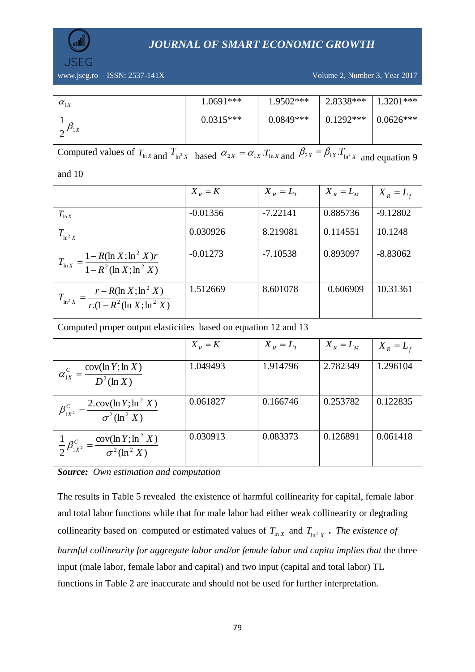

www.jseg.ro ISSN: 2537-141X Volume 2, Number 3, Year 2017

| $\alpha_{1X}$                                                                               | 1.0691***                                                                                                                                                         | 1.9502***       | 2.8338 ***      | 1.3201***   |  |  |  |  |  |  |
|---------------------------------------------------------------------------------------------|-------------------------------------------------------------------------------------------------------------------------------------------------------------------|-----------------|-----------------|-------------|--|--|--|--|--|--|
| $\frac{1}{2}\beta_{1x}$                                                                     | $0.0315***$                                                                                                                                                       | $0.0849***$     | $0.1292***$     | $0.0626***$ |  |  |  |  |  |  |
|                                                                                             |                                                                                                                                                                   |                 |                 |             |  |  |  |  |  |  |
|                                                                                             | Computed values of $T_{\ln x}$ and $T_{\ln^2 x}$ based $\alpha_{2x} = \alpha_{1x} \cdot T_{\ln x}$ and $\beta_{2x} = \beta_{1x} \cdot T_{\ln^2 x}$ and equation 9 |                 |                 |             |  |  |  |  |  |  |
| and 10                                                                                      |                                                                                                                                                                   |                 |                 |             |  |  |  |  |  |  |
|                                                                                             | $X_{R} = K$                                                                                                                                                       | $X_{R} = L_{T}$ | $X_{R} = L_{M}$ | $X_R = L_f$ |  |  |  |  |  |  |
| $T_{\ln X}$                                                                                 | $-0.01356$                                                                                                                                                        | $-7.22141$      | 0.885736        | $-9.12802$  |  |  |  |  |  |  |
| $T_{\ln^2 X}$                                                                               | 0.030926                                                                                                                                                          | 8.219081        | 0.114551        | 10.1248     |  |  |  |  |  |  |
| $T_{\ln X} = \frac{1 - R(\ln X; \ln^2 X)r}{1 - R^2(\ln X; \ln^2 X)}$                        | $-0.01273$                                                                                                                                                        | $-7.10538$      | 0.893097        | $-8.83062$  |  |  |  |  |  |  |
|                                                                                             |                                                                                                                                                                   |                 |                 |             |  |  |  |  |  |  |
| $T_{\ln^2 X} = \frac{r - R(\ln X; \ln^2 X)}{r \cdot (1 - R^2 (\ln X; \ln^2 X))}$            | 1.512669                                                                                                                                                          | 8.601078        | 0.606909        | 10.31361    |  |  |  |  |  |  |
|                                                                                             |                                                                                                                                                                   |                 |                 |             |  |  |  |  |  |  |
| Computed proper output elasticities based on equation 12 and 13                             |                                                                                                                                                                   |                 |                 |             |  |  |  |  |  |  |
|                                                                                             | $X_R = K$                                                                                                                                                         | $X_{R}=L_{T}$   | $X_R = L_M$     | $X_R = L_f$ |  |  |  |  |  |  |
| $\alpha_{1X}^C = \frac{\text{cov}(\ln Y; \ln X)}{D^2(\ln X)}$                               | 1.049493                                                                                                                                                          | 1.914796        | 2.782349        | 1.296104    |  |  |  |  |  |  |
|                                                                                             |                                                                                                                                                                   |                 |                 |             |  |  |  |  |  |  |
| $\beta_{1X^2}^c = \frac{2 \cdot \mathrm{cov}(\ln Y; \ln^2 X)}{\sigma^2 (\ln^2 X)}$          | 0.061827                                                                                                                                                          | 0.166746        | 0.253782        | 0.122835    |  |  |  |  |  |  |
|                                                                                             |                                                                                                                                                                   |                 |                 |             |  |  |  |  |  |  |
| $\frac{1}{2}\beta_{1X^{2}}^{C} = \frac{\text{cov}(\ln Y;\ln^{2} X)}{\sigma^{2}(\ln^{2} X)}$ | 0.030913                                                                                                                                                          | 0.083373        | 0.126891        | 0.061418    |  |  |  |  |  |  |
|                                                                                             |                                                                                                                                                                   |                 |                 |             |  |  |  |  |  |  |

*Source: Own estimation and computation*

The results in Table 5 revealed the existence of harmful collinearity for capital, female labor and total labor functions while that for male labor had either weak collinearity or degrading collinearity based on computed or estimated values of  $T_{\ln X}$  and  $T_{\ln^2 X}$ . The existence of *harmful collinearity for aggregate labor and/or female labor and capita implies that* the three input (male labor, female labor and capital) and two input (capital and total labor) TL functions in Table 2 are inaccurate and should not be used for further interpretation.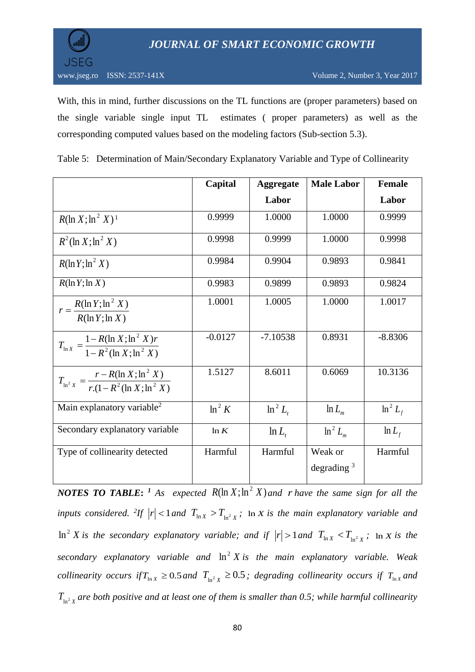

With, this in mind, further discussions on the TL functions are (proper parameters) based on the single variable single input TL estimates ( proper parameters) as well as the corresponding computed values based on the modeling factors (Sub-section 5.3).

|                                                                                  | Capital   | <b>Aggregate</b> | <b>Male Labor</b>        | <b>Female</b> |
|----------------------------------------------------------------------------------|-----------|------------------|--------------------------|---------------|
|                                                                                  |           | Labor            |                          | Labor         |
| $R(\ln X; \ln^2 X)^1$                                                            | 0.9999    | 1.0000           | 1.0000                   | 0.9999        |
| $R^2(\ln X;\ln^2 X)$                                                             | 0.9998    | 0.9999           | 1.0000                   | 0.9998        |
| $R(\ln Y; \ln^2 X)$                                                              | 0.9984    | 0.9904           | 0.9893                   | 0.9841        |
| $R(\ln Y; \ln X)$                                                                | 0.9983    | 0.9899           | 0.9893                   | 0.9824        |
| $r = \frac{R(\ln Y; \ln^2 X)}{R(\ln Y; \ln X)}$                                  | 1.0001    | 1.0005           | 1.0000                   | 1.0017        |
| $T_{\ln X} = \frac{1 - R(\ln X; \ln^2 X)r}{1 - R^2(\ln X; \ln^2 X)}$             | $-0.0127$ | $-7.10538$       | 0.8931                   | $-8.8306$     |
| $T_{\ln^2 X} = \frac{r - R(\ln X; \ln^2 X)}{r \cdot (1 - R^2 (\ln X; \ln^2 X))}$ | 1.5127    | 8.6011           | 0.6069                   | 10.3136       |
| Main explanatory variable <sup>2</sup>                                           | $\ln^2 K$ | $\ln^2 L$        | $\ln L_m$                | $\ln^2 L_f$   |
| Secondary explanatory variable                                                   | ln K      | $\ln L$          | $\ln^2 L_m$              | $\ln L_f$     |
| Type of collinearity detected                                                    | Harmful   | Harmful          | Weak or<br>degrading $3$ | Harmful       |

Table 5: Determination of Main/Secondary Explanatory Variable and Type of Collinearity

*NOTES TO TABLE*: <sup>1</sup> As expected  $R(\ln X; \ln^2 X)$  and r have the same sign for all the *inputs considered.* <sup>2</sup>*If*  $|r| < 1$  *and*  $T_{\ln X} > T_{\ln^2 X}$ ; In *X is the main explanatory variable and*  $\ln^2 X$  *is the secondary explanatory variable; and if*  $|r| > 1$  *and*  $T_{\ln X} < T_{\ln^2 X}$ *;*  $\ln X$  *<i>is the* secondary explanatory variable and  $\ln^2 X$  is the main explanatory variable. Weak *collinearity occurs if*  $T_{\ln x} \ge 0.5$  *and*  $T_{\ln^2 x} \ge 0.5$ ; degrading collinearity occurs if  $T_{\ln x}$  and  $T_{\ln^2 X}$  are both positive and at least one of them is smaller than 0.5; while harmful collinearity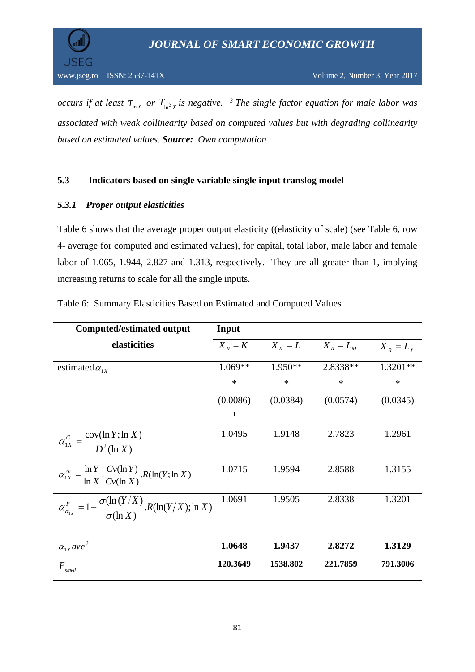

*occurs if at least*  $T_{\ln x}$  *or*  $T_{\ln^2 x}$  *is negative.* <sup>*3</sup> The single factor equation for male labor was*</sup> *associated with weak collinearity based on computed values but with degrading collinearity based on estimated values. Source: Own computation*

### **5.3 Indicators based on single variable single input translog model**

### *5.3.1 Proper output elasticities*

Table 6 shows that the average proper output elasticity ((elasticity of scale) (see Table 6, row 4- average for computed and estimated values), for capital, total labor, male labor and female labor of 1.065, 1.944, 2.827 and 1.313, respectively. They are all greater than 1, implying increasing returns to scale for all the single inputs.

| <b>Computed/estimated output</b>                                                            | Input       |           |             |             |
|---------------------------------------------------------------------------------------------|-------------|-----------|-------------|-------------|
| elasticities                                                                                | $X_{R} = K$ | $X_R = L$ | $X_R = L_M$ | $X_R = L_f$ |
| estimated $\alpha_{1x}$                                                                     | $1.069**$   | $1.950**$ | 2.8338**    | $1.3201**$  |
|                                                                                             | $\ast$      | $\ast$    | $\ast$      | $\ast$      |
|                                                                                             | (0.0086)    | (0.0384)  | (0.0574)    | (0.0345)    |
|                                                                                             | -1          |           |             |             |
| $\alpha_{1X}^C = \frac{\text{cov}(\ln Y; \ln X)}{D^2(\ln X)}$                               | 1.0495      | 1.9148    | 2.7823      | 1.2961      |
| $\alpha_{1X}^{cv} = \frac{\ln Y}{\ln X} \cdot \frac{Cv(\ln Y)}{Cv(\ln X)} R(\ln(Y; \ln X))$ | 1.0715      | 1.9594    | 2.8588      | 1.3155      |
| $\alpha_{\alpha_{1X}}^P=1+\frac{\sigma(\ln(Y/X)}{\sigma(\ln X)}.R(\ln(Y/X);\ln X)$          | 1.0691      | 1.9505    | 2.8338      | 1.3201      |
| $\alpha_{1x}$ ave <sup>2</sup>                                                              | 1.0648      | 1.9437    | 2.8272      | 1.3129      |
| $E_{\it smed}$                                                                              | 120.3649    | 1538.802  | 221.7859    | 791.3006    |

Table 6: Summary Elasticities Based on Estimated and Computed Values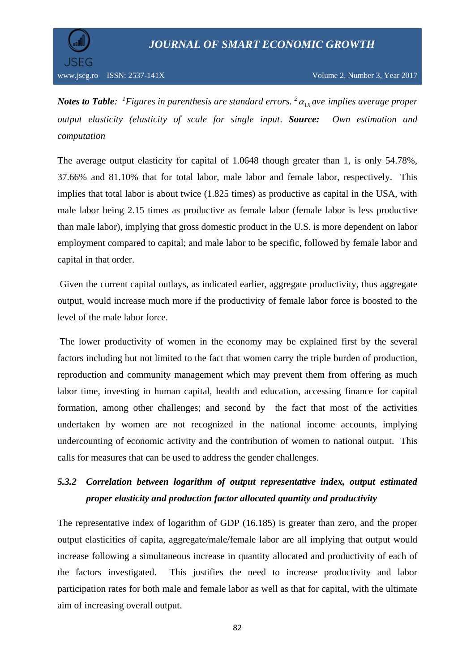

*Notes to Table: <sup>1</sup>Figures in parenthesis are standard errors.*  $^{2}$  $\alpha_{1x}$ ave implies average proper *output elasticity (elasticity of scale for single input*. *Source: Own estimation and computation*

The average output elasticity for capital of 1.0648 though greater than 1, is only 54.78%, 37.66% and 81.10% that for total labor, male labor and female labor, respectively. This implies that total labor is about twice (1.825 times) as productive as capital in the USA, with male labor being 2.15 times as productive as female labor (female labor is less productive than male labor), implying that gross domestic product in the U.S. is more dependent on labor employment compared to capital; and male labor to be specific, followed by female labor and capital in that order.

Given the current capital outlays, as indicated earlier, aggregate productivity, thus aggregate output, would increase much more if the productivity of female labor force is boosted to the level of the male labor force.

The lower productivity of women in the economy may be explained first by the several factors including but not limited to the fact that women carry the triple burden of production, reproduction and community management which may prevent them from offering as much labor time, investing in human capital, health and education, accessing finance for capital formation, among other challenges; and second by the fact that most of the activities undertaken by women are not recognized in the national income accounts, implying undercounting of economic activity and the contribution of women to national output. This calls for measures that can be used to address the gender challenges.

# *5.3.2 Correlation between logarithm of output representative index, output estimated proper elasticity and production factor allocated quantity and productivity*

The representative index of logarithm of GDP (16.185) is greater than zero, and the proper output elasticities of capita, aggregate/male/female labor are all implying that output would increase following a simultaneous increase in quantity allocated and productivity of each of the factors investigated. This justifies the need to increase productivity and labor participation rates for both male and female labor as well as that for capital, with the ultimate aim of increasing overall output.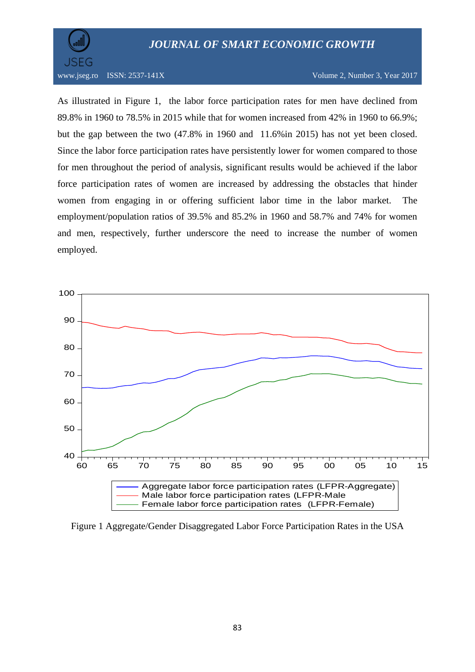

www.jseg.ro ISSN: 2537-141X Volume 2, Number 3, Year 2017

As illustrated in Figure 1, the labor force participation rates for men have declined from 89.8% in 1960 to 78.5% in 2015 while that for women increased from 42% in 1960 to 66.9%; but the gap between the two (47.8% in 1960 and 11.6%in 2015) has not yet been closed. Since the labor force participation rates have persistently lower for women compared to those for men throughout the period of analysis, significant results would be achieved if the labor force participation rates of women are increased by addressing the obstacles that hinder women from engaging in or offering sufficient labor time in the labor market. The employment/population ratios of 39.5% and 85.2% in 1960 and 58.7% and 74% for women and men, respectively, further underscore the need to increase the number of women employed.



Figure 1 Aggregate/Gender Disaggregated Labor Force Participation Rates in the USA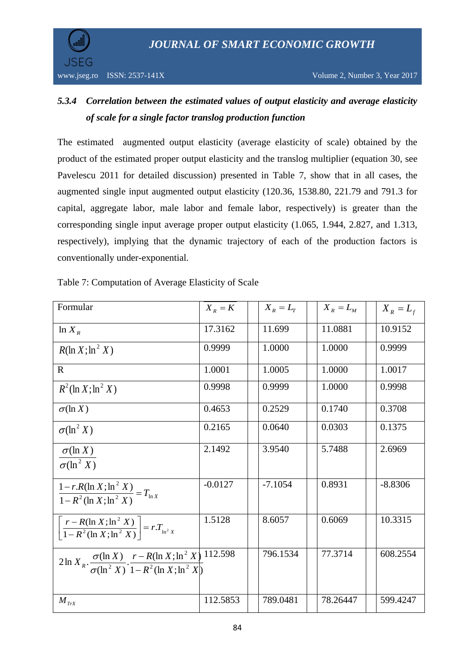JSEG

# *5.3.4 Correlation between the estimated values of output elasticity and average elasticity of scale for a single factor translog production function*

The estimated augmented output elasticity (average elasticity of scale) obtained by the product of the estimated proper output elasticity and the translog multiplier (equation 30, see Pavelescu 2011 for detailed discussion) presented in Table 7, show that in all cases, the augmented single input augmented output elasticity (120.36, 1538.80, 221.79 and 791.3 for capital, aggregate labor, male labor and female labor, respectively) is greater than the corresponding single input average proper output elasticity (1.065, 1.944, 2.827, and 1.313, respectively), implying that the dynamic trajectory of each of the production factors is conventionally under-exponential.

| Formular                                                                                                            | $X_R = K$ | $X_R = L_T$ | $X_R = L_M$ | $X_R = L_f$ |
|---------------------------------------------------------------------------------------------------------------------|-----------|-------------|-------------|-------------|
| $ln X_R$                                                                                                            | 17.3162   | 11.699      | 11.0881     | 10.9152     |
| $R(\ln X; \ln^2 X)$                                                                                                 | 0.9999    | 1.0000      | 1.0000      | 0.9999      |
| $\mathbb{R}$                                                                                                        | 1.0001    | 1.0005      | 1.0000      | 1.0017      |
| $R^2$ (ln X; ln <sup>2</sup> X)                                                                                     | 0.9998    | 0.9999      | 1.0000      | 0.9998      |
| $\sigma(\ln X)$                                                                                                     | 0.4653    | 0.2529      | 0.1740      | 0.3708      |
| $\sigma(\ln^2 X)$                                                                                                   | 0.2165    | 0.0640      | 0.0303      | 0.1375      |
| $\sigma(\ln X)$<br>$\sigma(\ln^2 X)$                                                                                | 2.1492    | 3.9540      | 5.7488      | 2.6969      |
| $\frac{1 - r.R(\ln X; \ln^2 X)}{1 - R^2(\ln X; \ln^2 X)} = T_{\ln X}$                                               | $-0.0127$ | $-7.1054$   | 0.8931      | $-8.8306$   |
| $\left  \frac{r - R(\ln X; \ln^2 X)}{1 - R^2(\ln X; \ln^2 X)} \right  = rT_{\ln^2 X}$                               | 1.5128    | 8.6057      | 0.6069      | 10.3315     |
| $2 \ln X_R \cdot \frac{\sigma(\ln X)}{\sigma(\ln^2 X)} \cdot \frac{r - R(\ln X; \ln^2 X)}{1 - R^2(\ln X; \ln^2 X)}$ | 112.598   | 796.1534    | 77.3714     | 608.2554    |
| $M_{TrX}$                                                                                                           | 112.5853  | 789.0481    | 78.26447    | 599.4247    |

Table 7: Computation of Average Elasticity of Scale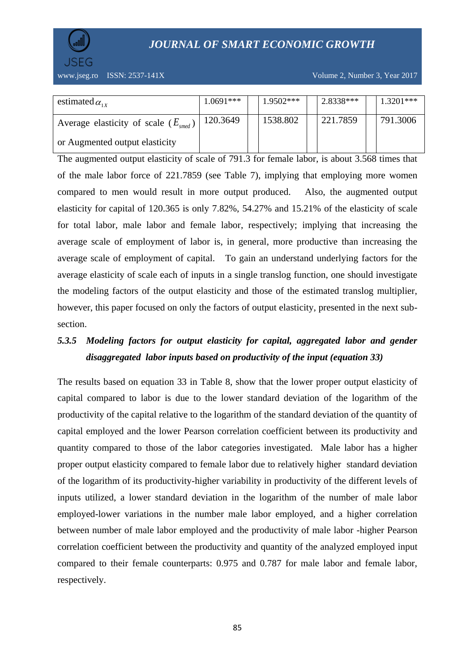

www.jseg.ro ISSN: 2537-141X Volume 2, Number 3, Year 2017

| estimated $\alpha_{1x}$                         | 1.0691*** | $1.9502***$ | 2.8338*** | 1.3201*** |
|-------------------------------------------------|-----------|-------------|-----------|-----------|
| Average elasticity of scale $(E_{\text{smed}})$ | 120.3649  | 1538.802    | 221.7859  | 791.3006  |
| or Augmented output elasticity                  |           |             |           |           |

The augmented output elasticity of scale of 791.3 for female labor, is about 3.568 times that of the male labor force of 221.7859 (see Table 7), implying that employing more women compared to men would result in more output produced. Also, the augmented output elasticity for capital of 120.365 is only 7.82%, 54.27% and 15.21% of the elasticity of scale for total labor, male labor and female labor, respectively; implying that increasing the average scale of employment of labor is, in general, more productive than increasing the average scale of employment of capital. To gain an understand underlying factors for the average elasticity of scale each of inputs in a single translog function, one should investigate the modeling factors of the output elasticity and those of the estimated translog multiplier, however, this paper focused on only the factors of output elasticity, presented in the next subsection.

# *5.3.5 Modeling factors for output elasticity for capital, aggregated labor and gender disaggregated labor inputs based on productivity of the input (equation 33)*

The results based on equation 33 in Table 8, show that the lower proper output elasticity of capital compared to labor is due to the lower standard deviation of the logarithm of the productivity of the capital relative to the logarithm of the standard deviation of the quantity of capital employed and the lower Pearson correlation coefficient between its productivity and quantity compared to those of the labor categories investigated. Male labor has a higher proper output elasticity compared to female labor due to relatively higher standard deviation of the logarithm of its productivity-higher variability in productivity of the different levels of inputs utilized, a lower standard deviation in the logarithm of the number of male labor employed-lower variations in the number male labor employed, and a higher correlation between number of male labor employed and the productivity of male labor -higher Pearson correlation coefficient between the productivity and quantity of the analyzed employed input compared to their female counterparts: 0.975 and 0.787 for male labor and female labor, respectively.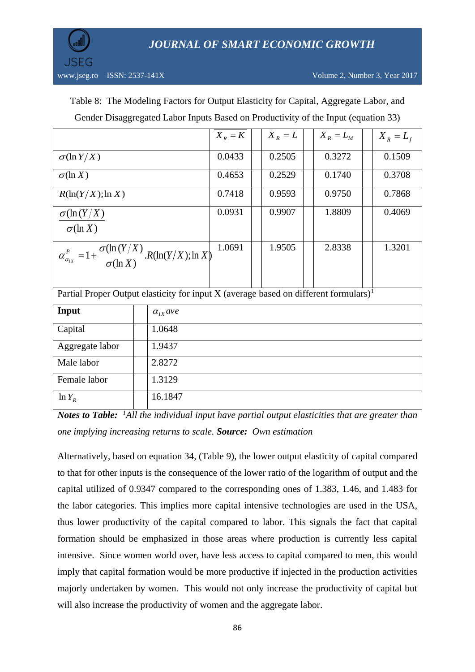

|  | Table 8: The Modeling Factors for Output Elasticity for Capital, Aggregate Labor, and |  |  |  |  |  |
|--|---------------------------------------------------------------------------------------|--|--|--|--|--|
|--|---------------------------------------------------------------------------------------|--|--|--|--|--|

| Gender Disaggregated Labor Inputs Based on Productivity of the Input (equation 33) |  |  |  |
|------------------------------------------------------------------------------------|--|--|--|
|------------------------------------------------------------------------------------|--|--|--|

|                                                                                                    |                   | $X_R = K$ | $X_R = L$ | $X_R = L_M$ | $X_R = L_f$ |
|----------------------------------------------------------------------------------------------------|-------------------|-----------|-----------|-------------|-------------|
| $\sigma(\ln Y/X)$                                                                                  |                   | 0.0433    | 0.2505    | 0.3272      | 0.1509      |
| $\sigma(\ln X)$                                                                                    |                   | 0.4653    | 0.2529    | 0.1740      | 0.3708      |
| $R(\ln(Y/X);\ln X)$                                                                                |                   | 0.7418    | 0.9593    | 0.9750      | 0.7868      |
| $\sigma(\ln(Y/X))$                                                                                 |                   | 0.0931    | 0.9907    | 1.8809      | 0.4069      |
| $\sigma(\ln X)$                                                                                    |                   |           |           |             |             |
| $\alpha_{\alpha_{1X}}^P=1+\frac{\sigma(\ln(Y/X)}{\sigma(\ln X)}.R(\ln(Y/X);\ln X)$                 |                   | 1.0691    | 1.9505    | 2.8338      | 1.3201      |
|                                                                                                    |                   |           |           |             |             |
| Partial Proper Output elasticity for input $X$ (average based on different formulars) <sup>1</sup> |                   |           |           |             |             |
| Input                                                                                              | $\alpha_{1x}$ ave |           |           |             |             |
| Capital                                                                                            | 1.0648            |           |           |             |             |
| Aggregate labor                                                                                    | 1.9437            |           |           |             |             |
| Male labor                                                                                         | 2.8272            |           |           |             |             |
| Female labor                                                                                       | 1.3129            |           |           |             |             |
| $\ln Y_R$                                                                                          | 16.1847           |           |           |             |             |

*Notes to Table: <sup>1</sup>All the individual input have partial output elasticities that are greater than one implying increasing returns to scale. Source: Own estimation*

Alternatively, based on equation 34, (Table 9), the lower output elasticity of capital compared to that for other inputs is the consequence of the lower ratio of the logarithm of output and the capital utilized of 0.9347 compared to the corresponding ones of 1.383, 1.46, and 1.483 for the labor categories. This implies more capital intensive technologies are used in the USA, thus lower productivity of the capital compared to labor. This signals the fact that capital formation should be emphasized in those areas where production is currently less capital intensive. Since women world over, have less access to capital compared to men, this would imply that capital formation would be more productive if injected in the production activities majorly undertaken by women. This would not only increase the productivity of capital but will also increase the productivity of women and the aggregate labor.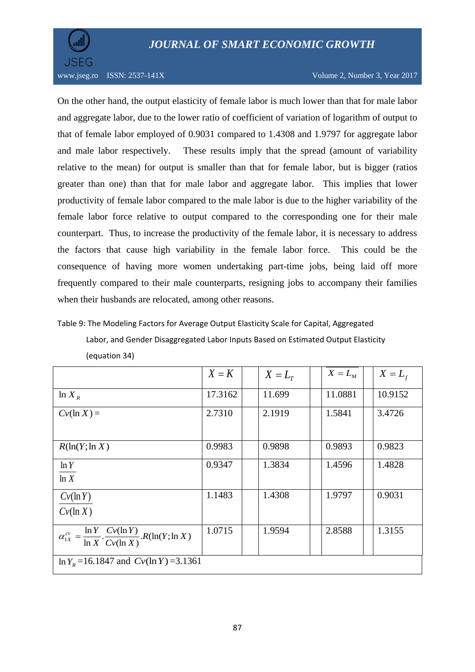

On the other hand, the output elasticity of female labor is much lower than that for male labor and aggregate labor, due to the lower ratio of coefficient of variation of logarithm of output to that of female labor employed of 0.9031 compared to 1.4308 and 1.9797 for aggregate labor and male labor respectively. These results imply that the spread (amount of variability relative to the mean) for output is smaller than that for female labor, but is bigger (ratios greater than one) than that for male labor and aggregate labor. This implies that lower productivity of female labor compared to the male labor is due to the higher variability of the female labor force relative to output compared to the corresponding one for their male counterpart. Thus, to increase the productivity of the female labor, it is necessary to address the factors that cause high variability in the female labor force. This could be the consequence of having more women undertaking part-time jobs, being laid off more frequently compared to their male counterparts, resigning jobs to accompany their families when their husbands are relocated, among other reasons.

Table 9: The Modeling Factors for Average Output Elasticity Scale for Capital, Aggregated

Labor, and Gender Disaggregated Labor Inputs Based on Estimated Output Elasticity (equation 34)

|                                                                                             | $X = K$ | $X=L_{\scriptscriptstyle T}$ | $X = L_M$ | $X = Lf$ |
|---------------------------------------------------------------------------------------------|---------|------------------------------|-----------|----------|
| $ln X_R$                                                                                    | 17.3162 | 11.699                       | 11.0881   | 10.9152  |
| $Cv(\ln X) =$                                                                               | 2.7310  | 2.1919                       | 1.5841    | 3.4726   |
| $R(\ln(Y;\ln X))$                                                                           | 0.9983  | 0.9898                       | 0.9893    | 0.9823   |
| ln Y<br>ln X                                                                                | 0.9347  | 1.3834                       | 1.4596    | 1.4828   |
| $Cv(\ln Y)$<br>$Cv(\ln X)$                                                                  | 1.1483  | 1.4308                       | 1.9797    | 0.9031   |
| $\alpha_{1X}^{cv} = \frac{\ln Y}{\ln X} \cdot \frac{Cv(\ln Y)}{Cv(\ln X)} R(\ln(Y; \ln X))$ | 1.0715  | 1.9594                       | 2.8588    | 1.3155   |
| $\ln Y_R = 16.1847$ and $Cv(\ln Y) = 3.1361$                                                |         |                              |           |          |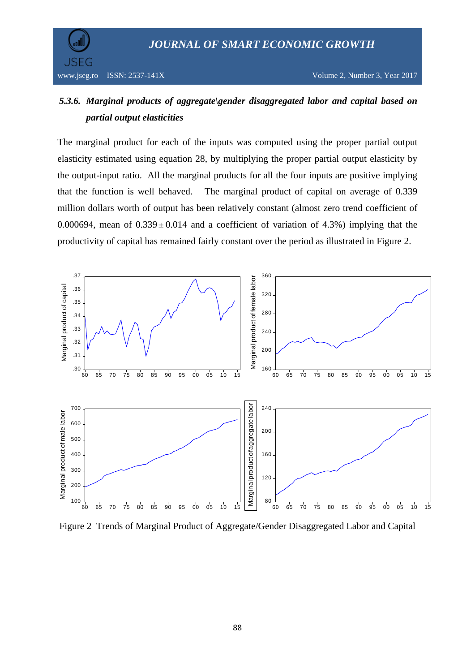

JSEG

## *5.3.6. Marginal products of aggregate\gender disaggregated labor and capital based on partial output elasticities*

The marginal product for each of the inputs was computed using the proper partial output elasticity estimated using equation 28, by multiplying the proper partial output elasticity by the output-input ratio. All the marginal products for all the four inputs are positive implying that the function is well behaved.The marginal product of capital on average of 0.339 million dollars worth of output has been relatively constant (almost zero trend coefficient of 0.000694, mean of  $0.339 \pm 0.014$  and a coefficient of variation of 4.3%) implying that the productivity of capital has remained fairly constant over the period as illustrated in Figure 2.



Figure 2 Trends of Marginal Product of Aggregate/Gender Disaggregated Labor and Capital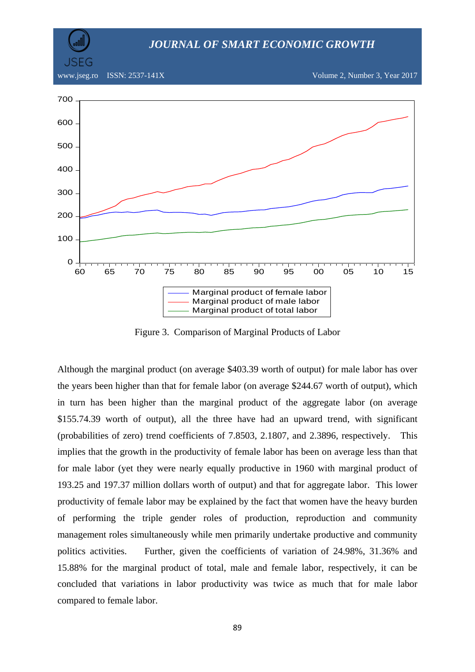www.jseg.ro ISSN: 2537-141X Volume 2, Number 3, Year 2017



Figure 3. Comparison of Marginal Products of Labor

Although the marginal product (on average \$403.39 worth of output) for male labor has over the years been higher than that for female labor (on average \$244.67 worth of output), which in turn has been higher than the marginal product of the aggregate labor (on average \$155.74.39 worth of output), all the three have had an upward trend, with significant (probabilities of zero) trend coefficients of 7.8503, 2.1807, and 2.3896, respectively. This implies that the growth in the productivity of female labor has been on average less than that for male labor (yet they were nearly equally productive in 1960 with marginal product of 193.25 and 197.37 million dollars worth of output) and that for aggregate labor. This lower productivity of female labor may be explained by the fact that women have the heavy burden of performing the triple gender roles of production, reproduction and community management roles simultaneously while men primarily undertake productive and community politics activities. Further, given the coefficients of variation of 24.98%, 31.36% and 15.88% for the marginal product of total, male and female labor, respectively, it can be concluded that variations in labor productivity was twice as much that for male labor compared to female labor.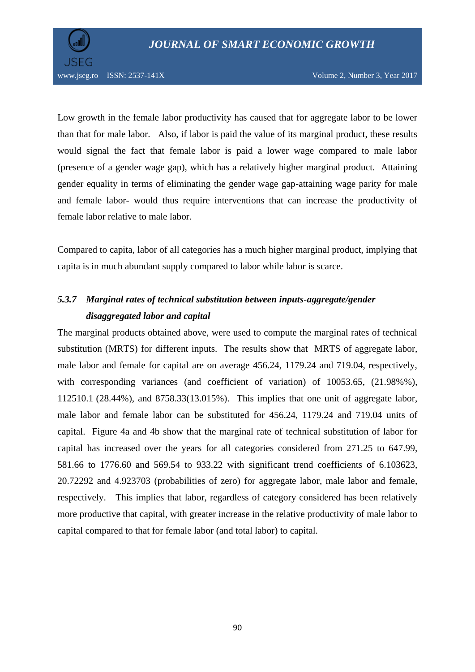

Low growth in the female labor productivity has caused that for aggregate labor to be lower than that for male labor. Also, if labor is paid the value of its marginal product, these results would signal the fact that female labor is paid a lower wage compared to male labor (presence of a gender wage gap), which has a relatively higher marginal product. Attaining gender equality in terms of eliminating the gender wage gap-attaining wage parity for male and female labor- would thus require interventions that can increase the productivity of female labor relative to male labor.

Compared to capita, labor of all categories has a much higher marginal product, implying that capita is in much abundant supply compared to labor while labor is scarce.

# *5.3.7 Marginal rates of technical substitution between inputs-aggregate/gender disaggregated labor and capital*

The marginal products obtained above, were used to compute the marginal rates of technical substitution (MRTS) for different inputs. The results show that MRTS of aggregate labor, male labor and female for capital are on average 456.24, 1179.24 and 719.04, respectively, with corresponding variances (and coefficient of variation) of 10053.65, (21.98%%), 112510.1 (28.44%), and 8758.33(13.015%). This implies that one unit of aggregate labor, male labor and female labor can be substituted for 456.24, 1179.24 and 719.04 units of capital. Figure 4a and 4b show that the marginal rate of technical substitution of labor for capital has increased over the years for all categories considered from 271.25 to 647.99, 581.66 to 1776.60 and 569.54 to 933.22 with significant trend coefficients of 6.103623, 20.72292 and 4.923703 (probabilities of zero) for aggregate labor, male labor and female, respectively. This implies that labor, regardless of category considered has been relatively more productive that capital, with greater increase in the relative productivity of male labor to capital compared to that for female labor (and total labor) to capital.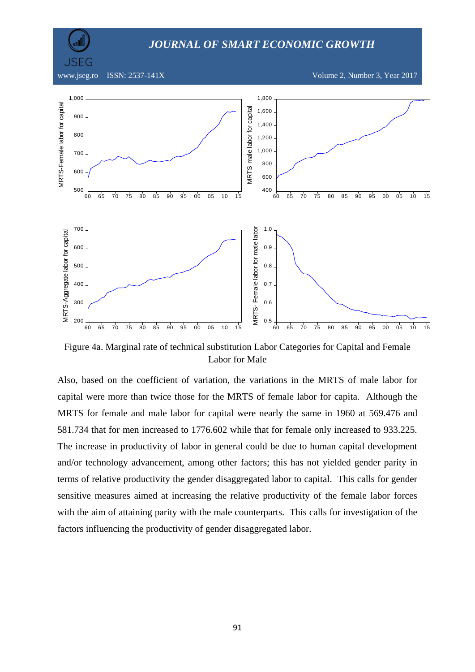JSEG

www.jseg.ro ISSN: 2537-141X Volume 2, Number 3, Year 2017



Figure 4a. Marginal rate of technical substitution Labor Categories for Capital and Female Labor for Male

Also, based on the coefficient of variation, the variations in the MRTS of male labor for capital were more than twice those for the MRTS of female labor for capita. Although the MRTS for female and male labor for capital were nearly the same in 1960 at 569.476 and 581.734 that for men increased to 1776.602 while that for female only increased to 933.225. The increase in productivity of labor in general could be due to human capital development and/or technology advancement, among other factors; this has not yielded gender parity in terms of relative productivity the gender disaggregated labor to capital. This calls for gender sensitive measures aimed at increasing the relative productivity of the female labor forces with the aim of attaining parity with the male counterparts. This calls for investigation of the factors influencing the productivity of gender disaggregated labor.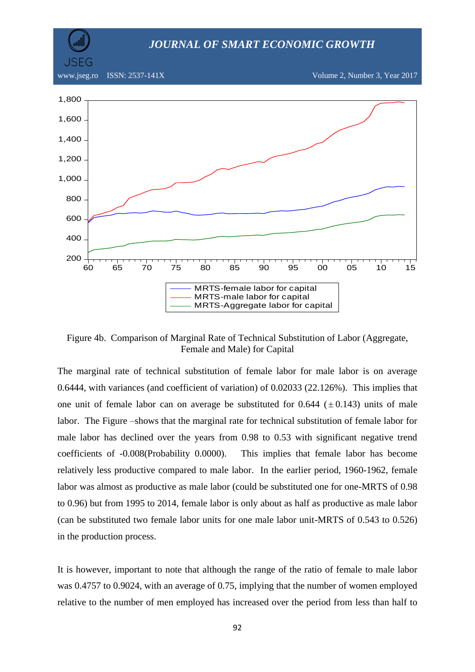JSEG

www.jseg.ro ISSN: 2537-141X Volume 2, Number 3, Year 2017



Figure 4b. Comparison of Marginal Rate of Technical Substitution of Labor (Aggregate, Female and Male) for Capital

The marginal rate of technical substitution of female labor for male labor is on average 0.6444, with variances (and coefficient of variation) of 0.02033 (22.126%). This implies that one unit of female labor can on average be substituted for 0.644  $(\pm 0.143)$  units of male labor. The Figure –shows that the marginal rate for technical substitution of female labor for male labor has declined over the years from 0.98 to 0.53 with significant negative trend coefficients of -0.008(Probability 0.0000). This implies that female labor has become relatively less productive compared to male labor. In the earlier period, 1960-1962, female labor was almost as productive as male labor (could be substituted one for one-MRTS of 0.98 to 0.96) but from 1995 to 2014, female labor is only about as half as productive as male labor (can be substituted two female labor units for one male labor unit-MRTS of 0.543 to 0.526) in the production process.

It is however, important to note that although the range of the ratio of female to male labor was 0.4757 to 0.9024, with an average of 0.75, implying that the number of women employed relative to the number of men employed has increased over the period from less than half to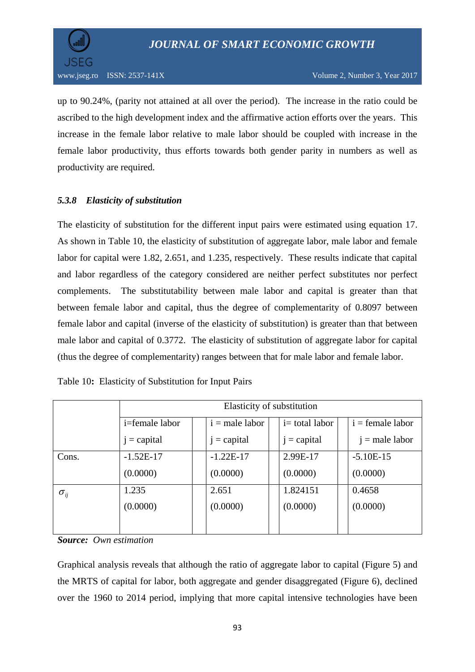

up to 90.24%, (parity not attained at all over the period). The increase in the ratio could be ascribed to the high development index and the affirmative action efforts over the years. This increase in the female labor relative to male labor should be coupled with increase in the female labor productivity, thus efforts towards both gender parity in numbers as well as productivity are required.

### *5.3.8 Elasticity of substitution*

The elasticity of substitution for the different input pairs were estimated using equation 17. As shown in Table 10, the elasticity of substitution of aggregate labor, male labor and female labor for capital were 1.82, 2.651, and 1.235, respectively. These results indicate that capital and labor regardless of the category considered are neither perfect substitutes nor perfect complements. The substitutability between male labor and capital is greater than that between female labor and capital, thus the degree of complementarity of 0.8097 between female labor and capital (inverse of the elasticity of substitution) is greater than that between male labor and capital of 0.3772. The elasticity of substitution of aggregate labor for capital (thus the degree of complementarity) ranges between that for male labor and female labor.

|  |  | Table 10: Elasticity of Substitution for Input Pairs |  |
|--|--|------------------------------------------------------|--|
|--|--|------------------------------------------------------|--|

|               | Elasticity of substitution |                    |               |                  |  |  |  |
|---------------|----------------------------|--------------------|---------------|------------------|--|--|--|
|               | i=female labor             | $i =$ female labor |               |                  |  |  |  |
|               | $j =$ capital              | $j =$ capital      | $i =$ capital | $j = male labor$ |  |  |  |
| Cons.         | $-1.52E-17$                | $-1.22E-17$        | 2.99E-17      | $-5.10E-15$      |  |  |  |
|               | (0.0000)                   | (0.0000)           | (0.0000)      | (0.0000)         |  |  |  |
| $\sigma_{ij}$ | 1.235                      | 2.651              | 1.824151      | 0.4658           |  |  |  |
|               | (0.0000)                   | (0.0000)           | (0.0000)      | (0.0000)         |  |  |  |
|               |                            |                    |               |                  |  |  |  |

*Source: Own estimation*

Graphical analysis reveals that although the ratio of aggregate labor to capital (Figure 5) and the MRTS of capital for labor, both aggregate and gender disaggregated (Figure 6), declined over the 1960 to 2014 period, implying that more capital intensive technologies have been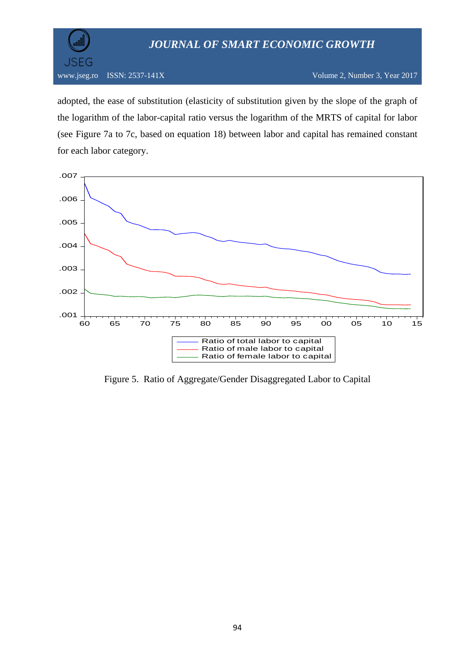

www.jseg.ro ISSN: 2537-141X Volume 2, Number 3, Year 2017

adopted, the ease of substitution (elasticity of substitution given by the slope of the graph of the logarithm of the labor-capital ratio versus the logarithm of the MRTS of capital for labor (see Figure 7a to 7c, based on equation 18) between labor and capital has remained constant for each labor category.



Figure 5. Ratio of Aggregate/Gender Disaggregated Labor to Capital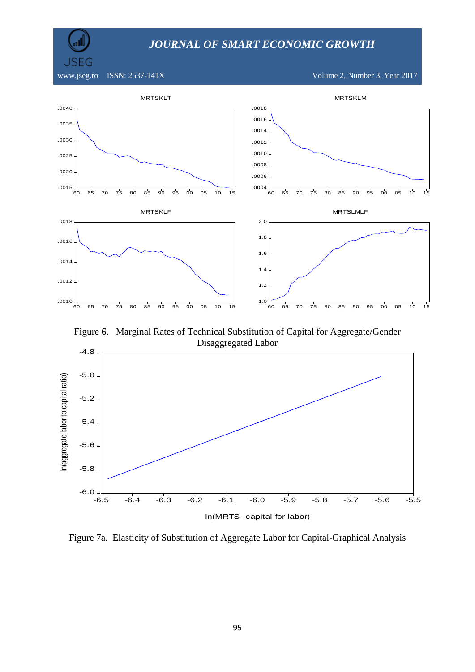

www.jseg.ro ISSN: 2537-141X Volume 2, Number 3, Year 2017



Figure 6. Marginal Rates of Technical Substitution of Capital for Aggregate/Gender Disaggregated Labor



Figure 7a. Elasticity of Substitution of Aggregate Labor for Capital-Graphical Analysis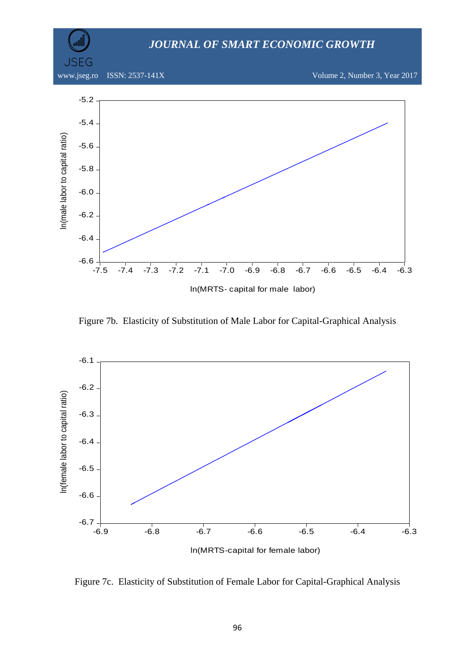

Figure 7b. Elasticity of Substitution of Male Labor for Capital-Graphical Analysis



Figure 7c. Elasticity of Substitution of Female Labor for Capital-Graphical Analysis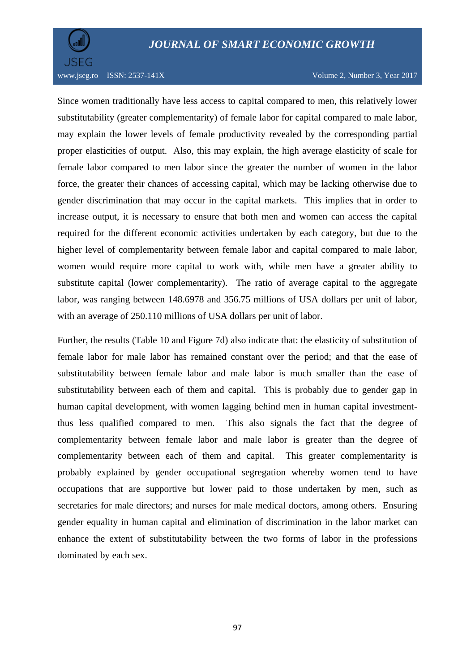

www.jseg.ro ISSN: 2537-141X Volume 2, Number 3, Year 2017

Since women traditionally have less access to capital compared to men, this relatively lower substitutability (greater complementarity) of female labor for capital compared to male labor, may explain the lower levels of female productivity revealed by the corresponding partial proper elasticities of output. Also, this may explain, the high average elasticity of scale for female labor compared to men labor since the greater the number of women in the labor force, the greater their chances of accessing capital, which may be lacking otherwise due to gender discrimination that may occur in the capital markets. This implies that in order to increase output, it is necessary to ensure that both men and women can access the capital required for the different economic activities undertaken by each category, but due to the higher level of complementarity between female labor and capital compared to male labor, women would require more capital to work with, while men have a greater ability to substitute capital (lower complementarity). The ratio of average capital to the aggregate labor, was ranging between 148.6978 and 356.75 millions of USA dollars per unit of labor, with an average of 250.110 millions of USA dollars per unit of labor.

Further, the results (Table 10 and Figure 7d) also indicate that: the elasticity of substitution of female labor for male labor has remained constant over the period; and that the ease of substitutability between female labor and male labor is much smaller than the ease of substitutability between each of them and capital. This is probably due to gender gap in human capital development, with women lagging behind men in human capital investmentthus less qualified compared to men. This also signals the fact that the degree of complementarity between female labor and male labor is greater than the degree of complementarity between each of them and capital. This greater complementarity is probably explained by gender occupational segregation whereby women tend to have occupations that are supportive but lower paid to those undertaken by men, such as secretaries for male directors; and nurses for male medical doctors, among others. Ensuring gender equality in human capital and elimination of discrimination in the labor market can enhance the extent of substitutability between the two forms of labor in the professions dominated by each sex.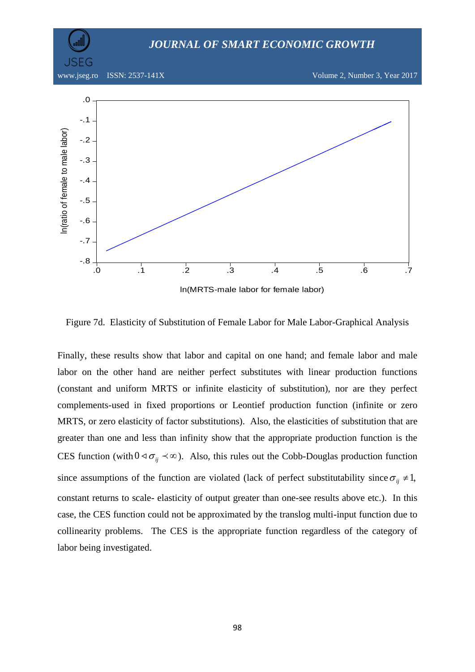

Figure 7d. Elasticity of Substitution of Female Labor for Male Labor-Graphical Analysis

Finally, these results show that labor and capital on one hand; and female labor and male labor on the other hand are neither perfect substitutes with linear production functions (constant and uniform MRTS or infinite elasticity of substitution), nor are they perfect complements-used in fixed proportions or Leontief production function (infinite or zero MRTS, or zero elasticity of factor substitutions). Also, the elasticities of substitution that are greater than one and less than infinity show that the appropriate production function is the CES function (with  $0 \le \sigma_{ij} \le \infty$ ). Also, this rules out the Cobb-Douglas production function since assumptions of the function are violated (lack of perfect substitutability since  $\sigma_{ij} \neq 1$ , constant returns to scale- elasticity of output greater than one-see results above etc.). In this case, the CES function could not be approximated by the translog multi-input function due to collinearity problems. The CES is the appropriate function regardless of the category of labor being investigated.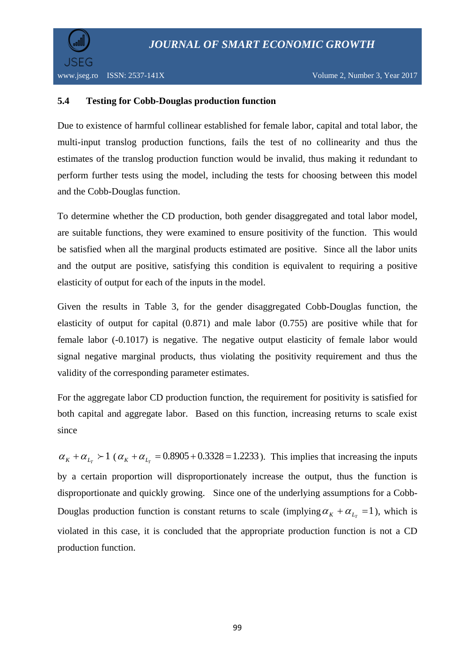

### **5.4 Testing for Cobb-Douglas production function**

Due to existence of harmful collinear established for female labor, capital and total labor, the multi-input translog production functions, fails the test of no collinearity and thus the estimates of the translog production function would be invalid, thus making it redundant to perform further tests using the model, including the tests for choosing between this model and the Cobb-Douglas function.

To determine whether the CD production, both gender disaggregated and total labor model, are suitable functions, they were examined to ensure positivity of the function. This would be satisfied when all the marginal products estimated are positive. Since all the labor units and the output are positive, satisfying this condition is equivalent to requiring a positive elasticity of output for each of the inputs in the model.

Given the results in Table 3, for the gender disaggregated Cobb-Douglas function, the elasticity of output for capital (0.871) and male labor (0.755) are positive while that for female labor (-0.1017) is negative. The negative output elasticity of female labor would signal negative marginal products, thus violating the positivity requirement and thus the validity of the corresponding parameter estimates.

For the aggregate labor CD production function, the requirement for positivity is satisfied for both capital and aggregate labor. Based on this function, increasing returns to scale exist since

 $\alpha_K + \alpha_{L_T} > 1$  ( $\alpha_K + \alpha_{L_T} = 0.8905 + 0.3328 = 1.2233$ ). This implies that increasing the inputs by a certain proportion will disproportionately increase the output, thus the function is disproportionate and quickly growing. Since one of the underlying assumptions for a Cobb-Douglas production function is constant returns to scale (implying  $\alpha_K + \alpha_{L} = 1$ ), which is violated in this case, it is concluded that the appropriate production function is not a CD production function.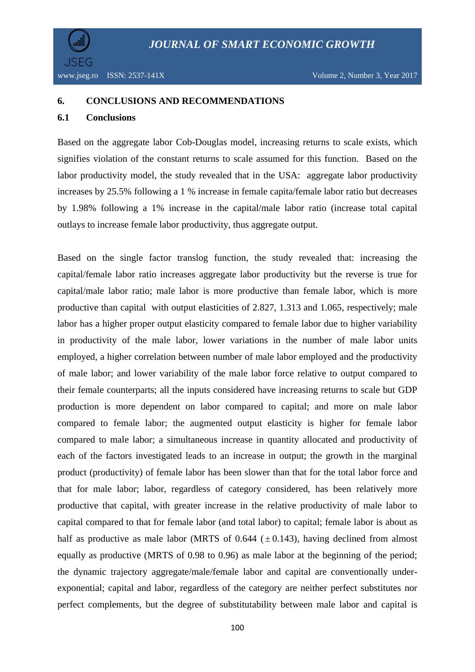#### **6. CONCLUSIONS AND RECOMMENDATIONS**

#### **6.1 Conclusions**

Based on the aggregate labor Cob-Douglas model, increasing returns to scale exists, which signifies violation of the constant returns to scale assumed for this function. Based on the labor productivity model, the study revealed that in the USA: aggregate labor productivity increases by 25.5% following a 1 % increase in female capita/female labor ratio but decreases by 1.98% following a 1% increase in the capital/male labor ratio (increase total capital outlays to increase female labor productivity, thus aggregate output.

Based on the single factor translog function, the study revealed that: increasing the capital/female labor ratio increases aggregate labor productivity but the reverse is true for capital/male labor ratio; male labor is more productive than female labor, which is more productive than capital with output elasticities of 2.827, 1.313 and 1.065, respectively; male labor has a higher proper output elasticity compared to female labor due to higher variability in productivity of the male labor, lower variations in the number of male labor units employed, a higher correlation between number of male labor employed and the productivity of male labor; and lower variability of the male labor force relative to output compared to their female counterparts; all the inputs considered have increasing returns to scale but GDP production is more dependent on labor compared to capital; and more on male labor compared to female labor; the augmented output elasticity is higher for female labor compared to male labor; a simultaneous increase in quantity allocated and productivity of each of the factors investigated leads to an increase in output; the growth in the marginal product (productivity) of female labor has been slower than that for the total labor force and that for male labor; labor, regardless of category considered, has been relatively more productive that capital, with greater increase in the relative productivity of male labor to capital compared to that for female labor (and total labor) to capital; female labor is about as half as productive as male labor (MRTS of  $0.644$  ( $\pm 0.143$ ), having declined from almost equally as productive (MRTS of 0.98 to 0.96) as male labor at the beginning of the period; the dynamic trajectory aggregate/male/female labor and capital are conventionally underexponential; capital and labor, regardless of the category are neither perfect substitutes nor perfect complements, but the degree of substitutability between male labor and capital is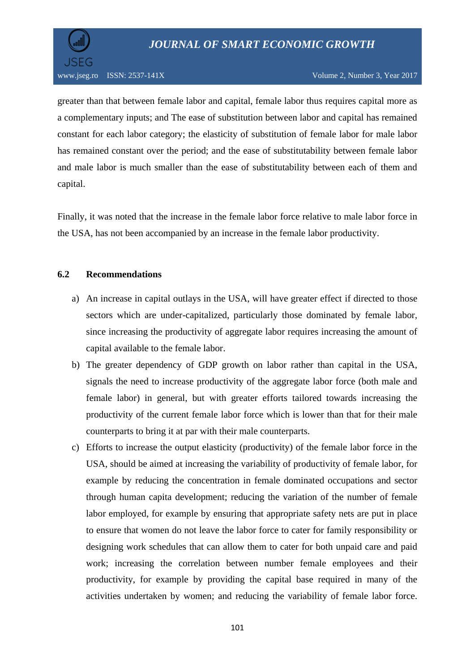

greater than that between female labor and capital, female labor thus requires capital more as a complementary inputs; and The ease of substitution between labor and capital has remained constant for each labor category; the elasticity of substitution of female labor for male labor has remained constant over the period; and the ease of substitutability between female labor and male labor is much smaller than the ease of substitutability between each of them and capital.

Finally, it was noted that the increase in the female labor force relative to male labor force in the USA, has not been accompanied by an increase in the female labor productivity.

### **6.2 Recommendations**

- a) An increase in capital outlays in the USA, will have greater effect if directed to those sectors which are under-capitalized, particularly those dominated by female labor, since increasing the productivity of aggregate labor requires increasing the amount of capital available to the female labor.
- b) The greater dependency of GDP growth on labor rather than capital in the USA, signals the need to increase productivity of the aggregate labor force (both male and female labor) in general, but with greater efforts tailored towards increasing the productivity of the current female labor force which is lower than that for their male counterparts to bring it at par with their male counterparts.
- c) Efforts to increase the output elasticity (productivity) of the female labor force in the USA, should be aimed at increasing the variability of productivity of female labor, for example by reducing the concentration in female dominated occupations and sector through human capita development; reducing the variation of the number of female labor employed, for example by ensuring that appropriate safety nets are put in place to ensure that women do not leave the labor force to cater for family responsibility or designing work schedules that can allow them to cater for both unpaid care and paid work; increasing the correlation between number female employees and their productivity, for example by providing the capital base required in many of the activities undertaken by women; and reducing the variability of female labor force.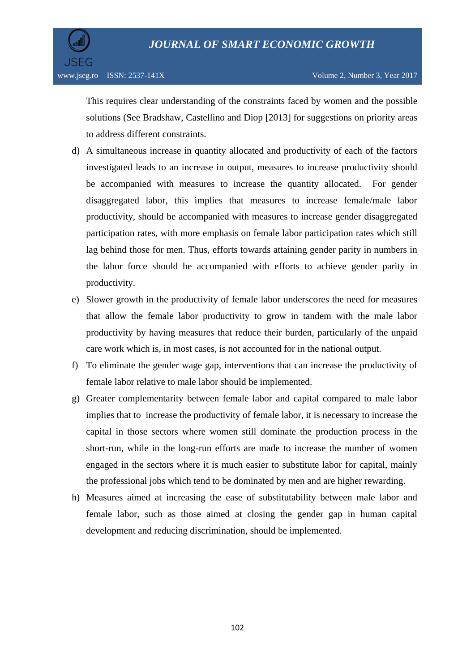

This requires clear understanding of the constraints faced by women and the possible solutions (See Bradshaw, Castellino and Diop [2013] for suggestions on priority areas to address different constraints.

- d) A simultaneous increase in quantity allocated and productivity of each of the factors investigated leads to an increase in output, measures to increase productivity should be accompanied with measures to increase the quantity allocated. For gender disaggregated labor, this implies that measures to increase female/male labor productivity, should be accompanied with measures to increase gender disaggregated participation rates, with more emphasis on female labor participation rates which still lag behind those for men. Thus, efforts towards attaining gender parity in numbers in the labor force should be accompanied with efforts to achieve gender parity in productivity.
- e) Slower growth in the productivity of female labor underscores the need for measures that allow the female labor productivity to grow in tandem with the male labor productivity by having measures that reduce their burden, particularly of the unpaid care work which is, in most cases, is not accounted for in the national output.
- f) To eliminate the gender wage gap, interventions that can increase the productivity of female labor relative to male labor should be implemented.
- g) Greater complementarity between female labor and capital compared to male labor implies that to increase the productivity of female labor, it is necessary to increase the capital in those sectors where women still dominate the production process in the short-run, while in the long-run efforts are made to increase the number of women engaged in the sectors where it is much easier to substitute labor for capital, mainly the professional jobs which tend to be dominated by men and are higher rewarding.
- h) Measures aimed at increasing the ease of substitutability between male labor and female labor, such as those aimed at closing the gender gap in human capital development and reducing discrimination, should be implemented.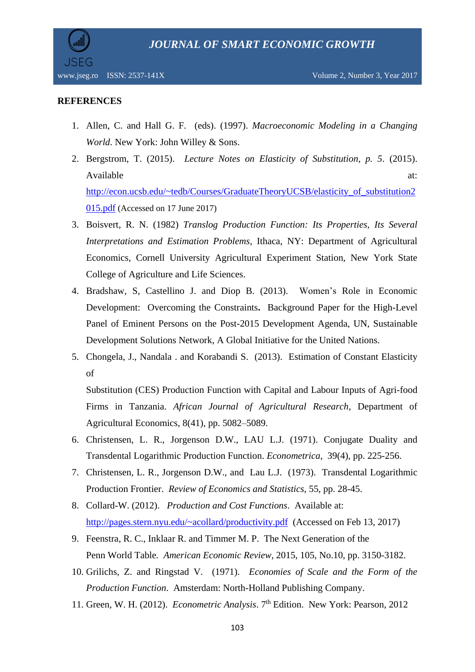

### **REFERENCES**

- 1. Allen, C. and Hall G. F. (eds). (1997). *Macroeconomic Modeling in a Changing World*. New York: John Willey & Sons.
- 2. Bergstrom, T. (2015). *[Lecture Notes on Elasticity of Substitution,](http://www.econ.ucsb.edu/~tedb/Courses/GraduateTheoryUCSB/elasticity_of_substitution2015.pdf) p. 5*. (2015). Available at:  $\alpha$ [http://econ.ucsb.edu/~tedb/Courses/GraduateTheoryUCSB/elasticity\\_of\\_substitution2](http://econ.ucsb.edu/~tedb/Courses/GraduateTheoryUCSB/elasticity_of_substitution2015.pdf) [015.pdf](http://econ.ucsb.edu/~tedb/Courses/GraduateTheoryUCSB/elasticity_of_substitution2015.pdf) (Accessed on 17 June 2017)
- 3. Boisvert, R. N. (1982) *Translog Production Function: Its Properties, Its Several Interpretations and Estimation Problems,* Ithaca, NY: Department of Agricultural Economics, Cornell University Agricultural Experiment Station, New York State College of Agriculture and Life Sciences.
- 4. Bradshaw, S, Castellino J. and Diop B. (2013). Women's Role in Economic Development: Overcoming the Constraints**.** Background Paper for the High-Level Panel of Eminent Persons on the Post-2015 Development Agenda, UN, Sustainable Development Solutions Network, A Global Initiative for the United Nations.
- 5. Chongela, J., Nandala . and Korabandi S. (2013). Estimation of Constant Elasticity of

Substitution (CES) Production Function with Capital and Labour Inputs of Agri-food Firms in Tanzania. *African Journal of Agricultural Research*, Department of Agricultural Economics, 8(41), pp. 5082–5089.

- 6. Christensen, L. R., Jorgenson D.W., LAU L.J. (1971). Conjugate Duality and Transdental Logarithmic Production Function. *Econometrica*, 39(4), pp. 225-256.
- 7. Christensen, L. R., Jorgenson D.W., and Lau L.J. (1973). Transdental Logarithmic Production Frontier. *Review of Economics and Statistics*, 55, pp. 28-45.
- 8. Collard-W. (2012). *Production and Cost Functions*. Available at: <http://pages.stern.nyu.edu/~acollard/productivity.pdf>(Accessed on Feb 13, 2017)
- 9. Feenstra, R. C., Inklaar R. and Timmer M. P. The Next Generation of the Penn World Table*. American Economic Review*, 2015, 105, No.10, pp. 3150-3182.
- 10. Grilichs, Z. and Ringstad V. (1971). *Economies of Scale and the Form of the Production Function*. Amsterdam: North-Holland Publishing Company.
- 11. Green, W. H. (2012). *Econometric Analysis*. 7th Edition. New York: Pearson, 2012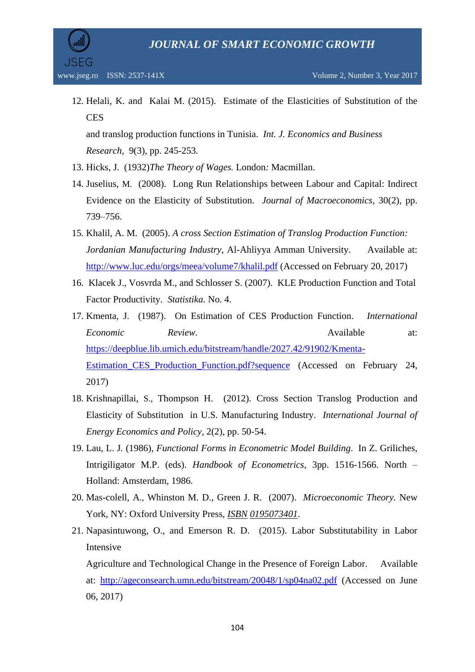

12. Helali, K. and Kalai M. (2015). Estimate of the Elasticities of Substitution of the **CES** and translog production functions in Tunisia. *Int. J. Economics and Business* 

*Research,* 9(3), pp. 245-253*.*

- 13. Hicks, J*.* (1932)*[The Theory of Wages](https://en.wikipedia.org/wiki/The_Theory_of_Wages).* London*:* Macmillan.
- 14. Juselius, M. (2008). Long Run Relationships between Labour and Capital: Indirect Evidence on the Elasticity of Substitution. *Journal of Macroeconomics*, 30(2), pp. 739–756.
- 15. Khalil, A. M. (2005). *A cross Section Estimation of Translog Production Function: Jordanian Manufacturing Industry*, Al-Ahliyya Amman University. Available at: <http://www.luc.edu/orgs/meea/volume7/khalil.pdf> (Accessed on February 20, 2017)
- 16. Klacek J., Vosvrda M., and Schlosser S. (2007). KLE Production Function and Total Factor Productivity. *Statistika.* No. 4.
- 17. Kmenta, J. (1987). On Estimation of CES Production Function. *International Economic Review.* Available at: [https://deepblue.lib.umich.edu/bitstream/handle/2027.42/91902/Kmenta-](https://deepblue.lib.umich.edu/bitstream/handle/2027.42/91902/Kmenta-Estimation_CES_Production_Function.pdf?sequence)[Estimation\\_CES\\_Production\\_Function.pdf?sequence](https://deepblue.lib.umich.edu/bitstream/handle/2027.42/91902/Kmenta-Estimation_CES_Production_Function.pdf?sequence) (Accessed on February 24, 2017)
- 18. Krishnapillai, S., Thompson H. (2012). Cross Section Translog Production and Elasticity of Substitution in U.S. Manufacturing Industry. *International Journal of Energy Economics and Policy*, 2(2), pp. 50-54.
- 19. Lau, L. J*.* (1986), *Functional Forms in Econometric Model Building*. In Z. Griliches, Intrigiligator M.P. (eds). *Handbook of Econometrics*, 3pp. 1516-1566. North – Holland: Amsterdam, 1986.
- 20. [Mas-colell, A](https://en.wikipedia.org/wiki/Andreu_Mas-Colell)., Whinston M. D., Green J. R. (2007). *Microeconomic Theory.* New York, NY: Oxford University Press, *[ISBN](https://en.wikipedia.org/wiki/International_Standard_Book_Number) [0195073401](https://en.wikipedia.org/wiki/Special:BookSources/0195073401)*.
- 21. Napasintuwong, O., and Emerson R. D. (2015). Labor Substitutability in Labor Intensive

Agriculture and Technological Change in the Presence of Foreign Labor. Available at: <http://ageconsearch.umn.edu/bitstream/20048/1/sp04na02.pdf> (Accessed on June 06, 2017)